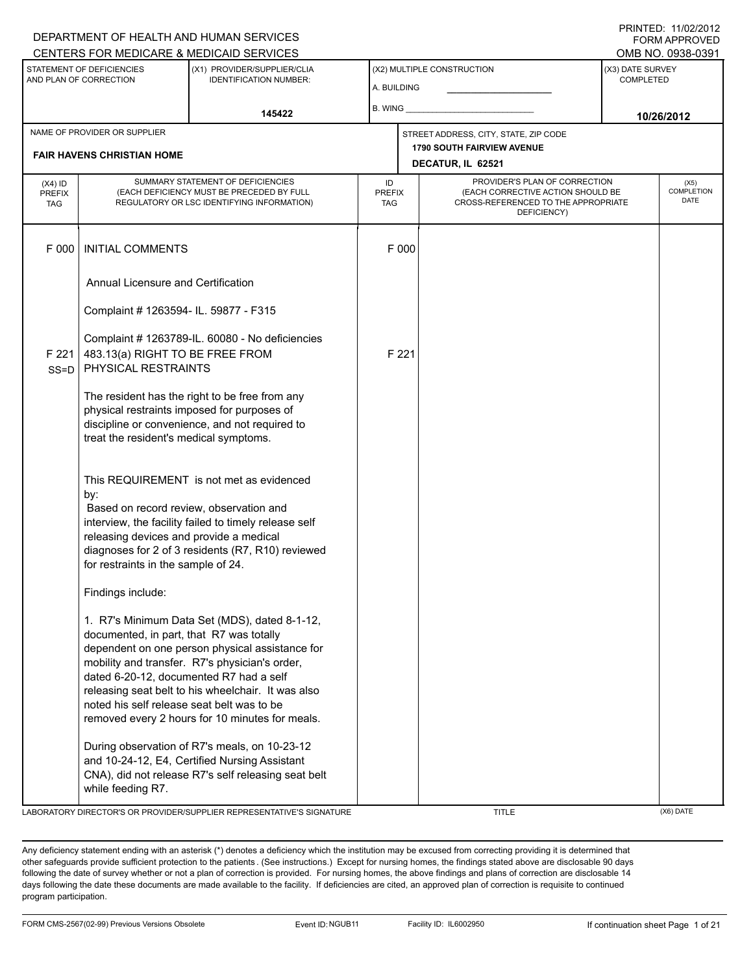### A. BUILDING (X1) PROVIDER/SUPPLIER/CLIA IDENTIFICATION NUMBER: STATEMENT OF DEFICIENCIES AND PLAN OF CORRECTION (X3) DATE SURVEY COMPLETED (X2) MULTIPLE CONSTRUCTION B. WING CENTERS FOR MEDICARE & MEDICAID SERVICES **And CENTERS FOR MEDICAL ACCESS** OMB NO. 0938-0391 **145422 10/26/2012 DECATUR, IL 62521** NAME OF PROVIDER OR SUPPLIER STREET ADDRESS, CITY, STATE, ZIP CODE **FAIR HAVENS CHRISTIAN HOME 1790 SOUTH FAIRVIEW AVENUE** PROVIDER'S PLAN OF CORRECTION (EACH CORRECTIVE ACTION SHOULD BE CROSS-REFERENCED TO THE APPROPRIATE DEFICIENCY) (X5) **COMPLETION** DATE ID PREFIX TAG  $(X4)$  ID PREFIX TAG SUMMARY STATEMENT OF DEFICIENCIES (EACH DEFICIENCY MUST BE PRECEDED BY FULL REGULATORY OR LSC IDENTIFYING INFORMATION) F 000 INITIAL COMMENTS F 000 Annual Licensure and Certification Complaint # 1263594- IL. 59877 - F315 Complaint # 1263789-IL. 60080 - No deficiencies F 221 SS=D 483.13(a) RIGHT TO BE FREE FROM PHYSICAL RESTRAINTS The resident has the right to be free from any physical restraints imposed for purposes of discipline or convenience, and not required to treat the resident's medical symptoms. This REQUIREMENT is not met as evidenced by: F 221 Based on record review, observation and interview, the facility failed to timely release self releasing devices and provide a medical diagnoses for 2 of 3 residents (R7, R10) reviewed for restraints in the sample of 24. Findings include: 1. R7's Minimum Data Set (MDS), dated 8-1-12, documented, in part, that R7 was totally dependent on one person physical assistance for mobility and transfer. R7's physician's order, dated 6-20-12, documented R7 had a self releasing seat belt to his wheelchair. It was also noted his self release seat belt was to be removed every 2 hours for 10 minutes for meals. During observation of R7's meals, on 10-23-12 and 10-24-12, E4, Certified Nursing Assistant CNA), did not release R7's self releasing seat belt while feeding R7.

### LABORATORY DIRECTOR'S OR PROVIDER/SUPPLIER REPRESENTATIVE'S SIGNATURE TITLE (X6) DATE

DEPARTMENT OF HEALTH AND HUMAN SERVICES

Any deficiency statement ending with an asterisk (\*) denotes a deficiency which the institution may be excused from correcting providing it is determined that other safeguards provide sufficient protection to the patients . (See instructions.) Except for nursing homes, the findings stated above are disclosable 90 days following the date of survey whether or not a plan of correction is provided. For nursing homes, the above findings and plans of correction are disclosable 14 days following the date these documents are made available to the facility. If deficiencies are cited, an approved plan of correction is requisite to continued program participation.

## PRINTED: 11/02/2012 FORM APPROVED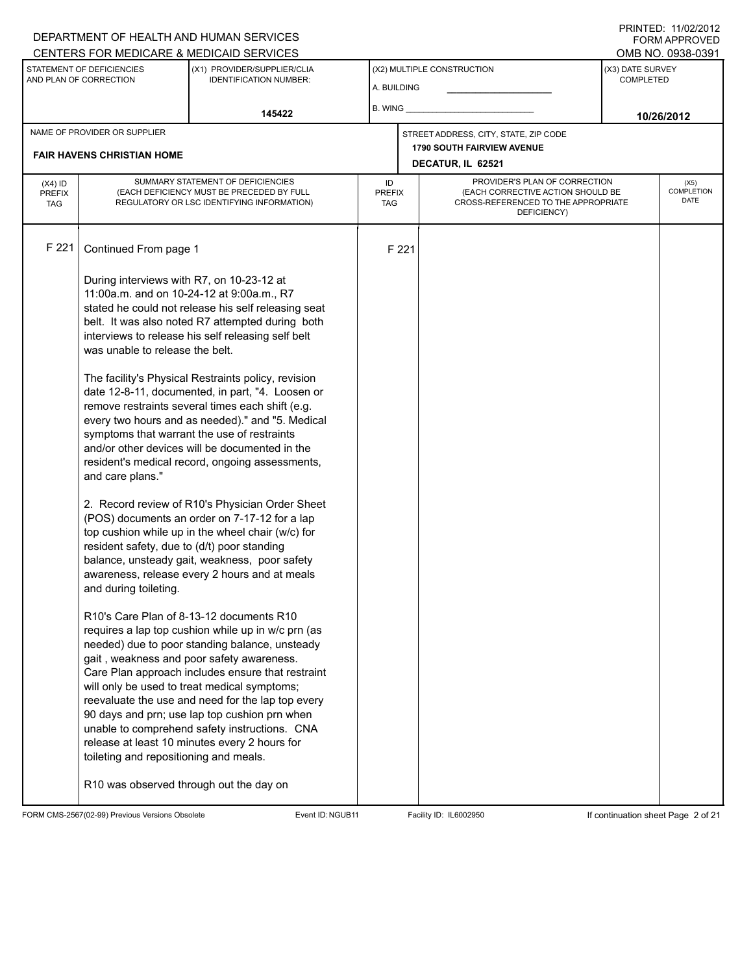PRINTED: 11/02/2012 FORM APPROVED

|                                          |                                                                                                                                                                                                   | CENTERS FOR MEDICARE & MEDICAID SERVICES                                                                                                                                                                                                                                                                                                                                                                                                                                                                                                                                                                                                                                                                                                                                                                                                                                                                                                       |                                   |       |                                                                                                                          |                                      | OMB NO. 0938-0391                 |
|------------------------------------------|---------------------------------------------------------------------------------------------------------------------------------------------------------------------------------------------------|------------------------------------------------------------------------------------------------------------------------------------------------------------------------------------------------------------------------------------------------------------------------------------------------------------------------------------------------------------------------------------------------------------------------------------------------------------------------------------------------------------------------------------------------------------------------------------------------------------------------------------------------------------------------------------------------------------------------------------------------------------------------------------------------------------------------------------------------------------------------------------------------------------------------------------------------|-----------------------------------|-------|--------------------------------------------------------------------------------------------------------------------------|--------------------------------------|-----------------------------------|
|                                          | <b>STATEMENT OF DEFICIENCIES</b><br>AND PLAN OF CORRECTION                                                                                                                                        | (X1) PROVIDER/SUPPLIER/CLIA<br><b>IDENTIFICATION NUMBER:</b>                                                                                                                                                                                                                                                                                                                                                                                                                                                                                                                                                                                                                                                                                                                                                                                                                                                                                   | A. BUILDING                       |       | (X2) MULTIPLE CONSTRUCTION                                                                                               | (X3) DATE SURVEY<br><b>COMPLETED</b> |                                   |
|                                          |                                                                                                                                                                                                   | 145422                                                                                                                                                                                                                                                                                                                                                                                                                                                                                                                                                                                                                                                                                                                                                                                                                                                                                                                                         | <b>B. WING</b>                    |       |                                                                                                                          |                                      | 10/26/2012                        |
|                                          | NAME OF PROVIDER OR SUPPLIER                                                                                                                                                                      |                                                                                                                                                                                                                                                                                                                                                                                                                                                                                                                                                                                                                                                                                                                                                                                                                                                                                                                                                |                                   |       | STREET ADDRESS, CITY, STATE, ZIP CODE                                                                                    |                                      |                                   |
|                                          | <b>FAIR HAVENS CHRISTIAN HOME</b>                                                                                                                                                                 |                                                                                                                                                                                                                                                                                                                                                                                                                                                                                                                                                                                                                                                                                                                                                                                                                                                                                                                                                |                                   |       | <b>1790 SOUTH FAIRVIEW AVENUE</b><br>DECATUR, IL 62521                                                                   |                                      |                                   |
| $(X4)$ ID<br><b>PREFIX</b><br><b>TAG</b> |                                                                                                                                                                                                   | SUMMARY STATEMENT OF DEFICIENCIES<br>(EACH DEFICIENCY MUST BE PRECEDED BY FULL<br>REGULATORY OR LSC IDENTIFYING INFORMATION)                                                                                                                                                                                                                                                                                                                                                                                                                                                                                                                                                                                                                                                                                                                                                                                                                   | ID<br><b>PREFIX</b><br><b>TAG</b> |       | PROVIDER'S PLAN OF CORRECTION<br>(EACH CORRECTIVE ACTION SHOULD BE<br>CROSS-REFERENCED TO THE APPROPRIATE<br>DEFICIENCY) |                                      | (X5)<br><b>COMPLETION</b><br>DATE |
| F 221                                    | Continued From page 1<br>During interviews with R7, on 10-23-12 at<br>was unable to release the belt.<br>and care plans."<br>resident safety, due to (d/t) poor standing<br>and during toileting. | 11:00a.m. and on 10-24-12 at 9:00a.m., R7<br>stated he could not release his self releasing seat<br>belt. It was also noted R7 attempted during both<br>interviews to release his self releasing self belt<br>The facility's Physical Restraints policy, revision<br>date 12-8-11, documented, in part, "4. Loosen or<br>remove restraints several times each shift (e.g.<br>every two hours and as needed)." and "5. Medical<br>symptoms that warrant the use of restraints<br>and/or other devices will be documented in the<br>resident's medical record, ongoing assessments,<br>2. Record review of R10's Physician Order Sheet<br>(POS) documents an order on 7-17-12 for a lap<br>top cushion while up in the wheel chair (w/c) for<br>balance, unsteady gait, weakness, poor safety<br>awareness, release every 2 hours and at meals<br>R10's Care Plan of 8-13-12 documents R10<br>requires a lap top cushion while up in w/c prn (as |                                   | F 221 |                                                                                                                          |                                      |                                   |
|                                          | toileting and repositioning and meals.<br>R10 was observed through out the day on                                                                                                                 | needed) due to poor standing balance, unsteady<br>gait, weakness and poor safety awareness.<br>Care Plan approach includes ensure that restraint<br>will only be used to treat medical symptoms;<br>reevaluate the use and need for the lap top every<br>90 days and prn; use lap top cushion prn when<br>unable to comprehend safety instructions. CNA<br>release at least 10 minutes every 2 hours for                                                                                                                                                                                                                                                                                                                                                                                                                                                                                                                                       |                                   |       |                                                                                                                          |                                      |                                   |

FORM CMS-2567(02-99) Previous Versions Obsolete Event ID:NGUB11 Facility ID: IL6002950 If continuation sheet Page 2 of 21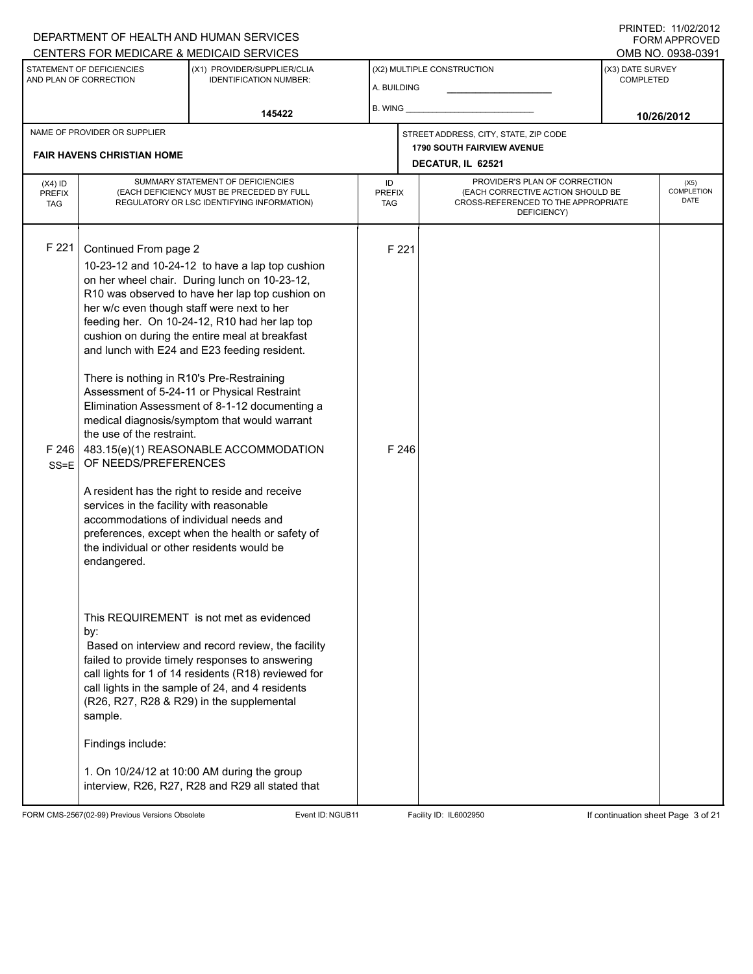#### A. BUILDING (X1) PROVIDER/SUPPLIER/CLIA IDENTIFICATION NUMBER: STATEMENT OF DEFICIENCIES AND PLAN OF CORRECTION (X3) DATE SURVEY COMPLETED FORM APPROVED (X2) MULTIPLE CONSTRUCTION B. WING CENTERS FOR MEDICARE & MEDICAID SERVICES OMB NO. 0938-0391 **145422 10/26/2012 DECATUR, IL 62521** NAME OF PROVIDER OR SUPPLIER STREET ADDRESS, CITY, STATE, ZIP CODE **FAIR HAVENS CHRISTIAN HOME 1790 SOUTH FAIRVIEW AVENUE** PROVIDER'S PLAN OF CORRECTION (EACH CORRECTIVE ACTION SHOULD BE CROSS-REFERENCED TO THE APPROPRIATE DEFICIENCY) (X5) **COMPLETION** DATE ID PREFIX TAG  $(X4)$  ID PREFIX TAG SUMMARY STATEMENT OF DEFICIENCIES (EACH DEFICIENCY MUST BE PRECEDED BY FULL REGULATORY OR LSC IDENTIFYING INFORMATION) F 221 Continued From page 2 F 221 10-23-12 and 10-24-12 to have a lap top cushion on her wheel chair. During lunch on 10-23-12, R10 was observed to have her lap top cushion on her w/c even though staff were next to her feeding her. On 10-24-12, R10 had her lap top cushion on during the entire meal at breakfast and lunch with E24 and E23 feeding resident. There is nothing in R10's Pre-Restraining Assessment of 5-24-11 or Physical Restraint Elimination Assessment of 8-1-12 documenting a medical diagnosis/symptom that would warrant the use of the restraint. F 246 SS=E OF NEEDS/PREFERENCES 483.15(e)(1) REASONABLE ACCOMMODATION A resident has the right to reside and receive services in the facility with reasonable accommodations of individual needs and preferences, except when the health or safety of the individual or other residents would be endangered. This REQUIREMENT is not met as evidenced by: F 246 Based on interview and record review, the facility failed to provide timely responses to answering call lights for 1 of 14 residents (R18) reviewed for call lights in the sample of 24, and 4 residents (R26, R27, R28 & R29) in the supplemental sample. Findings include: 1. On 10/24/12 at 10:00 AM during the group interview, R26, R27, R28 and R29 all stated that

FORM CMS-2567(02-99) Previous Versions Obsolete Event ID:NGUB11 Facility ID: IL6002950 If continuation sheet Page 3 of 21

DEPARTMENT OF HEALTH AND HUMAN SERVICES

PRINTED: 11/02/2012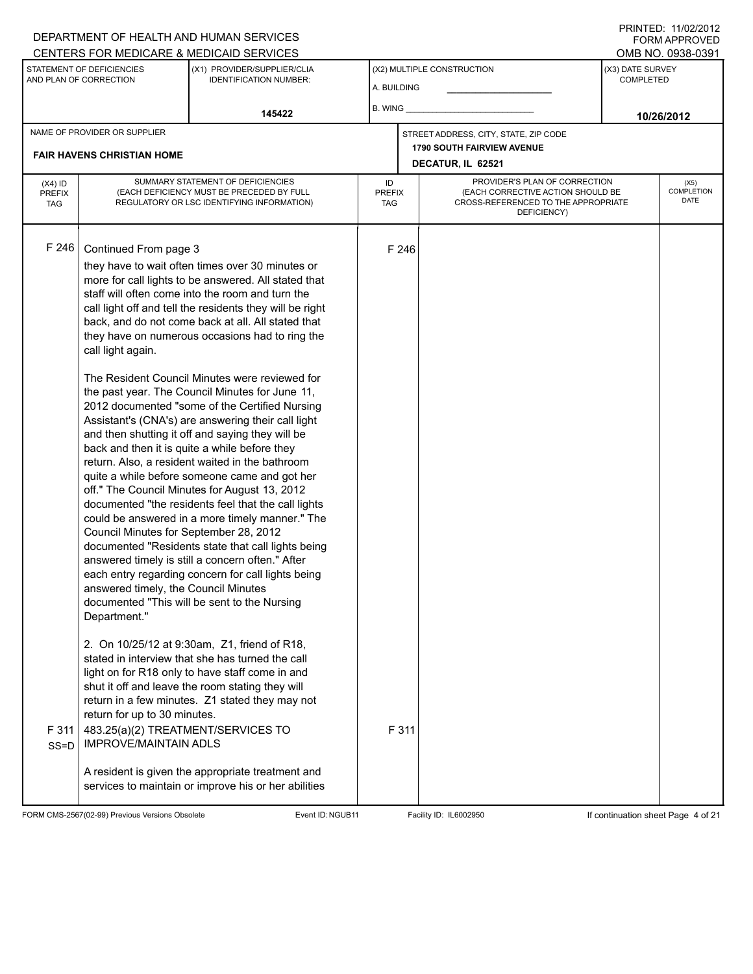PRINTED: 11/02/2012 FORM APPROVED

|                                          |                                                                                                                                              | CENTERS FOR MEDICARE & MEDICAID SERVICES                                                                                                                                                                                                                                                                                                                                                                                                                                                                                                                                                                                                                                                                                                                                                                                                                                                                                                                                                                                                                                                                                           |                                   |       |                                                                                                                          |                                      | OMB NO. 0938-0391          |
|------------------------------------------|----------------------------------------------------------------------------------------------------------------------------------------------|------------------------------------------------------------------------------------------------------------------------------------------------------------------------------------------------------------------------------------------------------------------------------------------------------------------------------------------------------------------------------------------------------------------------------------------------------------------------------------------------------------------------------------------------------------------------------------------------------------------------------------------------------------------------------------------------------------------------------------------------------------------------------------------------------------------------------------------------------------------------------------------------------------------------------------------------------------------------------------------------------------------------------------------------------------------------------------------------------------------------------------|-----------------------------------|-------|--------------------------------------------------------------------------------------------------------------------------|--------------------------------------|----------------------------|
|                                          | STATEMENT OF DEFICIENCIES<br>AND PLAN OF CORRECTION                                                                                          | (X1) PROVIDER/SUPPLIER/CLIA<br><b>IDENTIFICATION NUMBER:</b>                                                                                                                                                                                                                                                                                                                                                                                                                                                                                                                                                                                                                                                                                                                                                                                                                                                                                                                                                                                                                                                                       | A. BUILDING                       |       | (X2) MULTIPLE CONSTRUCTION                                                                                               | (X3) DATE SURVEY<br><b>COMPLETED</b> |                            |
|                                          |                                                                                                                                              | 145422                                                                                                                                                                                                                                                                                                                                                                                                                                                                                                                                                                                                                                                                                                                                                                                                                                                                                                                                                                                                                                                                                                                             | B. WING                           |       |                                                                                                                          |                                      | 10/26/2012                 |
|                                          | NAME OF PROVIDER OR SUPPLIER                                                                                                                 |                                                                                                                                                                                                                                                                                                                                                                                                                                                                                                                                                                                                                                                                                                                                                                                                                                                                                                                                                                                                                                                                                                                                    |                                   |       | STREET ADDRESS, CITY, STATE, ZIP CODE<br><b>1790 SOUTH FAIRVIEW AVENUE</b>                                               |                                      |                            |
|                                          | <b>FAIR HAVENS CHRISTIAN HOME</b>                                                                                                            |                                                                                                                                                                                                                                                                                                                                                                                                                                                                                                                                                                                                                                                                                                                                                                                                                                                                                                                                                                                                                                                                                                                                    |                                   |       | DECATUR, IL 62521                                                                                                        |                                      |                            |
| $(X4)$ ID<br><b>PREFIX</b><br><b>TAG</b> |                                                                                                                                              | SUMMARY STATEMENT OF DEFICIENCIES<br>(EACH DEFICIENCY MUST BE PRECEDED BY FULL<br>REGULATORY OR LSC IDENTIFYING INFORMATION)                                                                                                                                                                                                                                                                                                                                                                                                                                                                                                                                                                                                                                                                                                                                                                                                                                                                                                                                                                                                       | ID<br><b>PREFIX</b><br><b>TAG</b> |       | PROVIDER'S PLAN OF CORRECTION<br>(EACH CORRECTIVE ACTION SHOULD BE<br>CROSS-REFERENCED TO THE APPROPRIATE<br>DEFICIENCY) |                                      | (X5)<br>COMPLETION<br>DATE |
| F 246                                    | Continued From page 3<br>call light again.<br>Council Minutes for September 28, 2012<br>answered timely, the Council Minutes<br>Department." | they have to wait often times over 30 minutes or<br>more for call lights to be answered. All stated that<br>staff will often come into the room and turn the<br>call light off and tell the residents they will be right<br>back, and do not come back at all. All stated that<br>they have on numerous occasions had to ring the<br>The Resident Council Minutes were reviewed for<br>the past year. The Council Minutes for June 11,<br>2012 documented "some of the Certified Nursing<br>Assistant's (CNA's) are answering their call light<br>and then shutting it off and saying they will be<br>back and then it is quite a while before they<br>return. Also, a resident waited in the bathroom<br>quite a while before someone came and got her<br>off." The Council Minutes for August 13, 2012<br>documented "the residents feel that the call lights<br>could be answered in a more timely manner." The<br>documented "Residents state that call lights being<br>answered timely is still a concern often." After<br>each entry regarding concern for call lights being<br>documented "This will be sent to the Nursing |                                   | F 246 |                                                                                                                          |                                      |                            |
| F 311<br>$SS = D$                        | return for up to 30 minutes.<br><b>IMPROVE/MAINTAIN ADLS</b>                                                                                 | 2. On 10/25/12 at 9:30am, Z1, friend of R18,<br>stated in interview that she has turned the call<br>light on for R18 only to have staff come in and<br>shut it off and leave the room stating they will<br>return in a few minutes. Z1 stated they may not<br>483.25(a)(2) TREATMENT/SERVICES TO                                                                                                                                                                                                                                                                                                                                                                                                                                                                                                                                                                                                                                                                                                                                                                                                                                   |                                   | F 311 |                                                                                                                          |                                      |                            |
|                                          |                                                                                                                                              | A resident is given the appropriate treatment and<br>services to maintain or improve his or her abilities                                                                                                                                                                                                                                                                                                                                                                                                                                                                                                                                                                                                                                                                                                                                                                                                                                                                                                                                                                                                                          |                                   |       |                                                                                                                          |                                      |                            |

FORM CMS-2567(02-99) Previous Versions Obsolete Event ID:NGUB11 Facility ID: IL6002950 If continuation sheet Page 4 of 21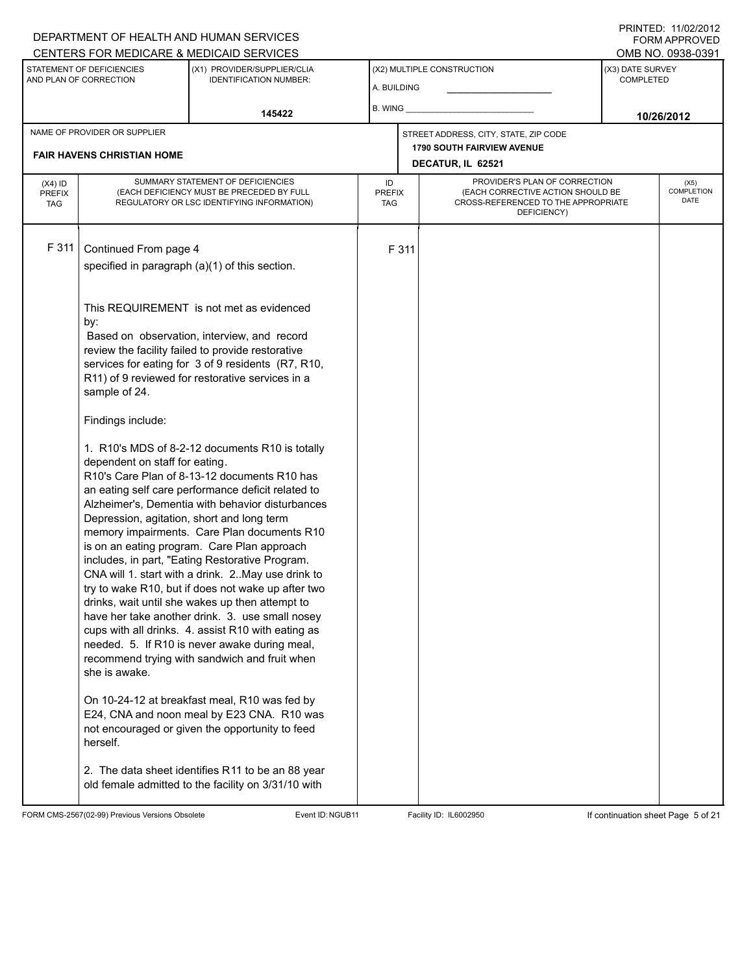PRINTED: 11/02/2012 FORM APPROVED

|                                          |                                                                                                                    | CENTERS FOR MEDICARE & MEDICAID SERVICES                                                                                                                                                                                                                                                                                                                                                                                                                                                                                                                                                                                                                                                                                                                                               |                                   |       |                                                                                                                          |                                      | OMB NO. 0938-0391                 |
|------------------------------------------|--------------------------------------------------------------------------------------------------------------------|----------------------------------------------------------------------------------------------------------------------------------------------------------------------------------------------------------------------------------------------------------------------------------------------------------------------------------------------------------------------------------------------------------------------------------------------------------------------------------------------------------------------------------------------------------------------------------------------------------------------------------------------------------------------------------------------------------------------------------------------------------------------------------------|-----------------------------------|-------|--------------------------------------------------------------------------------------------------------------------------|--------------------------------------|-----------------------------------|
|                                          | STATEMENT OF DEFICIENCIES<br>AND PLAN OF CORRECTION                                                                | (X1) PROVIDER/SUPPLIER/CLIA<br><b>IDENTIFICATION NUMBER:</b>                                                                                                                                                                                                                                                                                                                                                                                                                                                                                                                                                                                                                                                                                                                           | A. BUILDING                       |       | (X2) MULTIPLE CONSTRUCTION                                                                                               | (X3) DATE SURVEY<br><b>COMPLETED</b> |                                   |
|                                          |                                                                                                                    | 145422                                                                                                                                                                                                                                                                                                                                                                                                                                                                                                                                                                                                                                                                                                                                                                                 | B. WING                           |       |                                                                                                                          |                                      | 10/26/2012                        |
|                                          | NAME OF PROVIDER OR SUPPLIER                                                                                       |                                                                                                                                                                                                                                                                                                                                                                                                                                                                                                                                                                                                                                                                                                                                                                                        |                                   |       | STREET ADDRESS, CITY, STATE, ZIP CODE                                                                                    |                                      |                                   |
|                                          | <b>FAIR HAVENS CHRISTIAN HOME</b>                                                                                  |                                                                                                                                                                                                                                                                                                                                                                                                                                                                                                                                                                                                                                                                                                                                                                                        |                                   |       | <b>1790 SOUTH FAIRVIEW AVENUE</b><br>DECATUR, IL 62521                                                                   |                                      |                                   |
| $(X4)$ ID<br><b>PREFIX</b><br><b>TAG</b> |                                                                                                                    | SUMMARY STATEMENT OF DEFICIENCIES<br>(EACH DEFICIENCY MUST BE PRECEDED BY FULL<br>REGULATORY OR LSC IDENTIFYING INFORMATION)                                                                                                                                                                                                                                                                                                                                                                                                                                                                                                                                                                                                                                                           | ID<br><b>PREFIX</b><br><b>TAG</b> |       | PROVIDER'S PLAN OF CORRECTION<br>(EACH CORRECTIVE ACTION SHOULD BE<br>CROSS-REFERENCED TO THE APPROPRIATE<br>DEFICIENCY) |                                      | (X5)<br><b>COMPLETION</b><br>DATE |
| F 311                                    | Continued From page 4                                                                                              | specified in paragraph (a)(1) of this section.                                                                                                                                                                                                                                                                                                                                                                                                                                                                                                                                                                                                                                                                                                                                         |                                   | F 311 |                                                                                                                          |                                      |                                   |
|                                          | by:<br>sample of 24.                                                                                               | This REQUIREMENT is not met as evidenced<br>Based on observation, interview, and record<br>review the facility failed to provide restorative<br>services for eating for 3 of 9 residents (R7, R10,<br>R11) of 9 reviewed for restorative services in a                                                                                                                                                                                                                                                                                                                                                                                                                                                                                                                                 |                                   |       |                                                                                                                          |                                      |                                   |
|                                          | Findings include:<br>dependent on staff for eating.<br>Depression, agitation, short and long term<br>she is awake. | 1. R10's MDS of 8-2-12 documents R10 is totally<br>R10's Care Plan of 8-13-12 documents R10 has<br>an eating self care performance deficit related to<br>Alzheimer's, Dementia with behavior disturbances<br>memory impairments. Care Plan documents R10<br>is on an eating program. Care Plan approach<br>includes, in part, "Eating Restorative Program.<br>CNA will 1. start with a drink. 2. May use drink to<br>try to wake R10, but if does not wake up after two<br>drinks, wait until she wakes up then attempt to<br>have her take another drink. 3. use small nosey<br>cups with all drinks. 4. assist R10 with eating as<br>needed. 5. If R10 is never awake during meal,<br>recommend trying with sandwich and fruit when<br>On 10-24-12 at breakfast meal, R10 was fed by |                                   |       |                                                                                                                          |                                      |                                   |
|                                          | herself.                                                                                                           | E24, CNA and noon meal by E23 CNA. R10 was<br>not encouraged or given the opportunity to feed<br>2. The data sheet identifies R11 to be an 88 year<br>old female admitted to the facility on 3/31/10 with                                                                                                                                                                                                                                                                                                                                                                                                                                                                                                                                                                              |                                   |       |                                                                                                                          |                                      |                                   |

FORM CMS-2567(02-99) Previous Versions Obsolete Event ID:NGUB11 Facility ID: IL6002950 If continuation sheet Page 5 of 21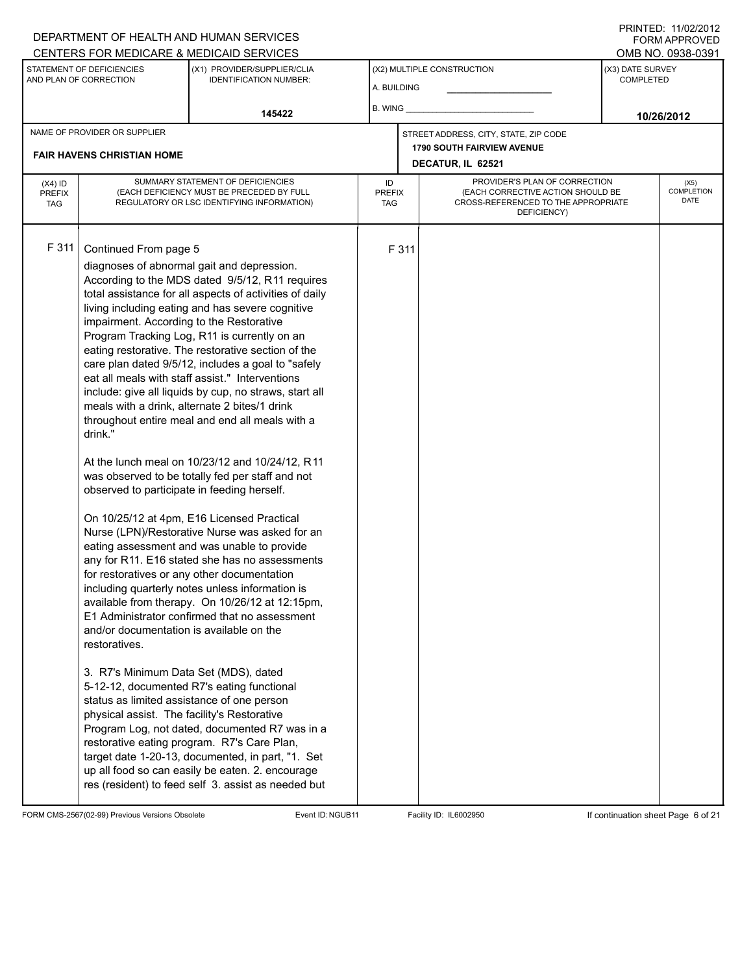PRINTED: 11/02/2012 FORM APPROVED

|                                          |                                                                                                                                                                                                                                                                                                                                | <u>UENTERS FUR MEDIUARE &amp; MEDIUAID SERVIUES</u>                                                                                                                                                                                                                                                                                                                                                                                                                                                                                                                                                                                                                                                                                                                                                                                                                                                                                                                                                                                                                                                                                                                                                                                                                                                                                                                                                                    |                                   |       |                                                                                                                          |                               | OMB NO. 0938-039 I         |
|------------------------------------------|--------------------------------------------------------------------------------------------------------------------------------------------------------------------------------------------------------------------------------------------------------------------------------------------------------------------------------|------------------------------------------------------------------------------------------------------------------------------------------------------------------------------------------------------------------------------------------------------------------------------------------------------------------------------------------------------------------------------------------------------------------------------------------------------------------------------------------------------------------------------------------------------------------------------------------------------------------------------------------------------------------------------------------------------------------------------------------------------------------------------------------------------------------------------------------------------------------------------------------------------------------------------------------------------------------------------------------------------------------------------------------------------------------------------------------------------------------------------------------------------------------------------------------------------------------------------------------------------------------------------------------------------------------------------------------------------------------------------------------------------------------------|-----------------------------------|-------|--------------------------------------------------------------------------------------------------------------------------|-------------------------------|----------------------------|
|                                          | STATEMENT OF DEFICIENCIES<br>AND PLAN OF CORRECTION                                                                                                                                                                                                                                                                            | (X1) PROVIDER/SUPPLIER/CLIA<br><b>IDENTIFICATION NUMBER:</b>                                                                                                                                                                                                                                                                                                                                                                                                                                                                                                                                                                                                                                                                                                                                                                                                                                                                                                                                                                                                                                                                                                                                                                                                                                                                                                                                                           | A. BUILDING                       |       | (X2) MULTIPLE CONSTRUCTION                                                                                               | (X3) DATE SURVEY<br>COMPLETED |                            |
|                                          |                                                                                                                                                                                                                                                                                                                                | 145422                                                                                                                                                                                                                                                                                                                                                                                                                                                                                                                                                                                                                                                                                                                                                                                                                                                                                                                                                                                                                                                                                                                                                                                                                                                                                                                                                                                                                 | B. WING                           |       |                                                                                                                          |                               | 10/26/2012                 |
|                                          | NAME OF PROVIDER OR SUPPLIER<br><b>FAIR HAVENS CHRISTIAN HOME</b>                                                                                                                                                                                                                                                              |                                                                                                                                                                                                                                                                                                                                                                                                                                                                                                                                                                                                                                                                                                                                                                                                                                                                                                                                                                                                                                                                                                                                                                                                                                                                                                                                                                                                                        |                                   |       | STREET ADDRESS, CITY, STATE, ZIP CODE<br><b>1790 SOUTH FAIRVIEW AVENUE</b><br>DECATUR, IL 62521                          |                               |                            |
| $(X4)$ ID<br><b>PREFIX</b><br><b>TAG</b> |                                                                                                                                                                                                                                                                                                                                | SUMMARY STATEMENT OF DEFICIENCIES<br>(EACH DEFICIENCY MUST BE PRECEDED BY FULL<br>REGULATORY OR LSC IDENTIFYING INFORMATION)                                                                                                                                                                                                                                                                                                                                                                                                                                                                                                                                                                                                                                                                                                                                                                                                                                                                                                                                                                                                                                                                                                                                                                                                                                                                                           | ID<br><b>PREFIX</b><br><b>TAG</b> |       | PROVIDER'S PLAN OF CORRECTION<br>(EACH CORRECTIVE ACTION SHOULD BE<br>CROSS-REFERENCED TO THE APPROPRIATE<br>DEFICIENCY) |                               | (X5)<br>COMPLETION<br>DATE |
| F 311                                    | Continued From page 5<br>impairment. According to the Restorative<br>drink."<br>observed to participate in feeding herself.<br>and/or documentation is available on the<br>restoratives.<br>3. R7's Minimum Data Set (MDS), dated<br>status as limited assistance of one person<br>physical assist. The facility's Restorative | diagnoses of abnormal gait and depression.<br>According to the MDS dated 9/5/12, R11 requires<br>total assistance for all aspects of activities of daily<br>living including eating and has severe cognitive<br>Program Tracking Log, R11 is currently on an<br>eating restorative. The restorative section of the<br>care plan dated 9/5/12, includes a goal to "safely<br>eat all meals with staff assist." Interventions<br>include: give all liquids by cup, no straws, start all<br>meals with a drink, alternate 2 bites/1 drink<br>throughout entire meal and end all meals with a<br>At the lunch meal on 10/23/12 and 10/24/12, R11<br>was observed to be totally fed per staff and not<br>On 10/25/12 at 4pm, E16 Licensed Practical<br>Nurse (LPN)/Restorative Nurse was asked for an<br>eating assessment and was unable to provide<br>any for R11. E16 stated she has no assessments<br>for restoratives or any other documentation<br>including quarterly notes unless information is<br>available from therapy. On 10/26/12 at 12:15pm.<br>E1 Administrator confirmed that no assessment<br>5-12-12, documented R7's eating functional<br>Program Log, not dated, documented R7 was in a<br>restorative eating program. R7's Care Plan,<br>target date 1-20-13, documented, in part, "1. Set<br>up all food so can easily be eaten. 2. encourage<br>res (resident) to feed self 3. assist as needed but |                                   | F 311 |                                                                                                                          |                               |                            |

FORM CMS-2567(02-99) Previous Versions Obsolete Event ID:NGUB11 Facility ID: IL6002950 If continuation sheet Page 6 of 21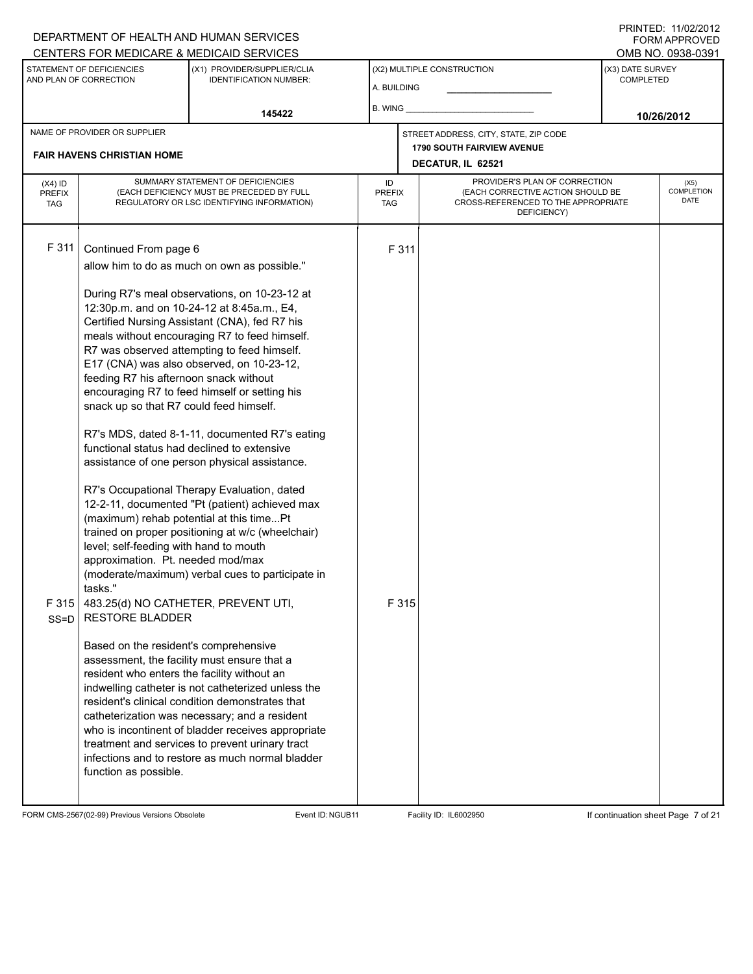#### A. BUILDING (X1) PROVIDER/SUPPLIER/CLIA IDENTIFICATION NUMBER: STATEMENT OF DEFICIENCIES AND PLAN OF CORRECTION (X3) DATE SURVEY COMPLETED FORM APPROVED (X2) MULTIPLE CONSTRUCTION B. WING CENTERS FOR MEDICARE & MEDICAID SERVICES **And CENTERS FOR MEDICAL ACCESS** OMB NO. 0938-0391 **145422 10/26/2012 DECATUR, IL 62521** NAME OF PROVIDER OR SUPPLIER STREET ADDRESS, CITY, STATE, ZIP CODE **FAIR HAVENS CHRISTIAN HOME 1790 SOUTH FAIRVIEW AVENUE** PROVIDER'S PLAN OF CORRECTION (EACH CORRECTIVE ACTION SHOULD BE CROSS-REFERENCED TO THE APPROPRIATE DEFICIENCY) (X5) **COMPLETION** DATE ID PREFIX TAG  $(X4)$  ID PREFIX TAG SUMMARY STATEMENT OF DEFICIENCIES (EACH DEFICIENCY MUST BE PRECEDED BY FULL REGULATORY OR LSC IDENTIFYING INFORMATION) F 311 Continued From page 6 F 311 allow him to do as much on own as possible." During R7's meal observations, on 10-23-12 at 12:30p.m. and on 10-24-12 at 8:45a.m., E4, Certified Nursing Assistant (CNA), fed R7 his meals without encouraging R7 to feed himself. R7 was observed attempting to feed himself. E17 (CNA) was also observed, on 10-23-12, feeding R7 his afternoon snack without encouraging R7 to feed himself or setting his snack up so that R7 could feed himself. R7's MDS, dated 8-1-11, documented R7's eating functional status had declined to extensive assistance of one person physical assistance. R7's Occupational Therapy Evaluation, dated 12-2-11, documented "Pt (patient) achieved max (maximum) rehab potential at this time...Pt trained on proper positioning at w/c (wheelchair) level; self-feeding with hand to mouth approximation. Pt. needed mod/max (moderate/maximum) verbal cues to participate in tasks." F 315 SS=D 483.25(d) NO CATHETER, PREVENT UTI, RESTORE BLADDER Based on the resident's comprehensive assessment, the facility must ensure that a resident who enters the facility without an indwelling catheter is not catheterized unless the resident's clinical condition demonstrates that catheterization was necessary; and a resident who is incontinent of bladder receives appropriate treatment and services to prevent urinary tract infections and to restore as much normal bladder function as possible. F 315

FORM CMS-2567(02-99) Previous Versions Obsolete Event ID:NGUB11 Facility ID: IL6002950 If continuation sheet Page 7 of 21

DEPARTMENT OF HEALTH AND HUMAN SERVICES

PRINTED: 11/02/2012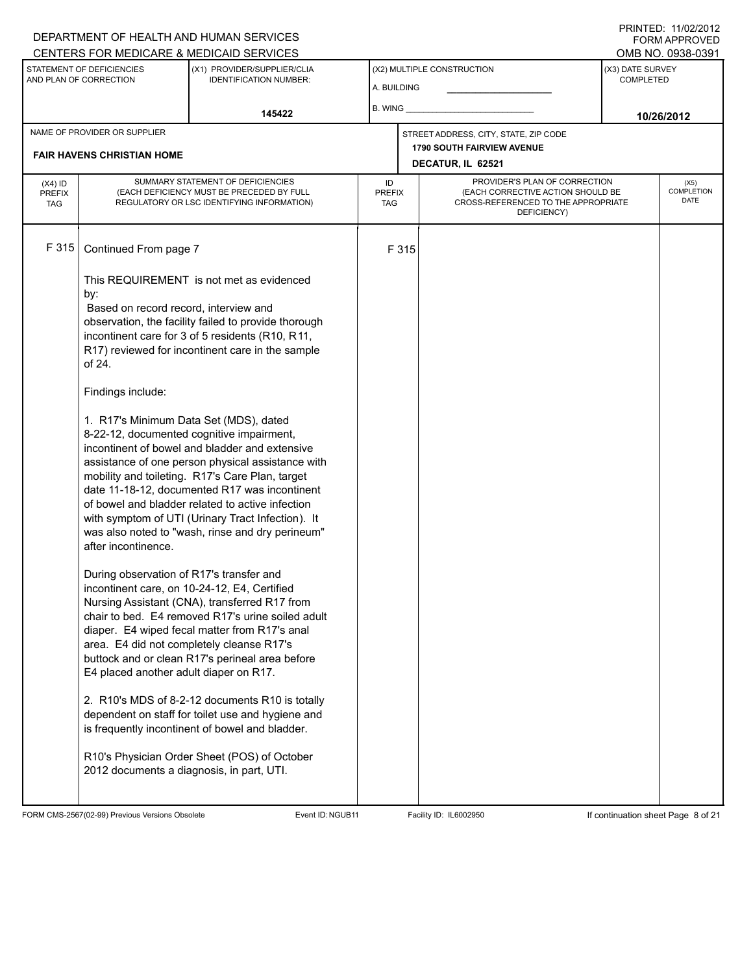### A. BUILDING (X1) PROVIDER/SUPPLIER/CLIA IDENTIFICATION NUMBER: STATEMENT OF DEFICIENCIES AND PLAN OF CORRECTION (X3) DATE SURVEY COMPLETED (X2) MULTIPLE CONSTRUCTION B. WING CENTERS FOR MEDICARE & MEDICAID SERVICES **And CENTERS FOR MEDICAL ACCESS** OMB NO. 0938-0391 **145422 10/26/2012 DECATUR, IL 62521** NAME OF PROVIDER OR SUPPLIER STREET ADDRESS, CITY, STATE, ZIP CODE **FAIR HAVENS CHRISTIAN HOME 1790 SOUTH FAIRVIEW AVENUE** PROVIDER'S PLAN OF CORRECTION (EACH CORRECTIVE ACTION SHOULD BE CROSS-REFERENCED TO THE APPROPRIATE DEFICIENCY) ID PREFIX TAG  $(X4)$  ID PREFIX TAG SUMMARY STATEMENT OF DEFICIENCIES (EACH DEFICIENCY MUST BE PRECEDED BY FULL REGULATORY OR LSC IDENTIFYING INFORMATION) F 315 Continued From page 7 F 315 This REQUIREMENT is not met as evidenced by: Based on record record, interview and observation, the facility failed to provide thorough incontinent care for 3 of 5 residents (R10, R11, R17) reviewed for incontinent care in the sample of 24. Findings include: 1. R17's Minimum Data Set (MDS), dated 8-22-12, documented cognitive impairment, incontinent of bowel and bladder and extensive assistance of one person physical assistance with mobility and toileting. R17's Care Plan, target date 11-18-12, documented R17 was incontinent of bowel and bladder related to active infection with symptom of UTI (Urinary Tract Infection). It was also noted to "wash, rinse and dry perineum" after incontinence. During observation of R17's transfer and incontinent care, on 10-24-12, E4, Certified Nursing Assistant (CNA), transferred R17 from chair to bed. E4 removed R17's urine soiled adult diaper. E4 wiped fecal matter from R17's anal area. E4 did not completely cleanse R17's buttock and or clean R17's perineal area before E4 placed another adult diaper on R17. 2. R10's MDS of 8-2-12 documents R10 is totally dependent on staff for toilet use and hygiene and is frequently incontinent of bowel and bladder. R10's Physician Order Sheet (POS) of October 2012 documents a diagnosis, in part, UTI.

FORM CMS-2567(02-99) Previous Versions Obsolete Event ID:NGUB11 Facility ID: IL6002950 If continuation sheet Page 8 of 21

DEPARTMENT OF HEALTH AND HUMAN SERVICES

PRINTED: 11/02/2012 FORM APPROVED

> (X5) **COMPLETION** DATE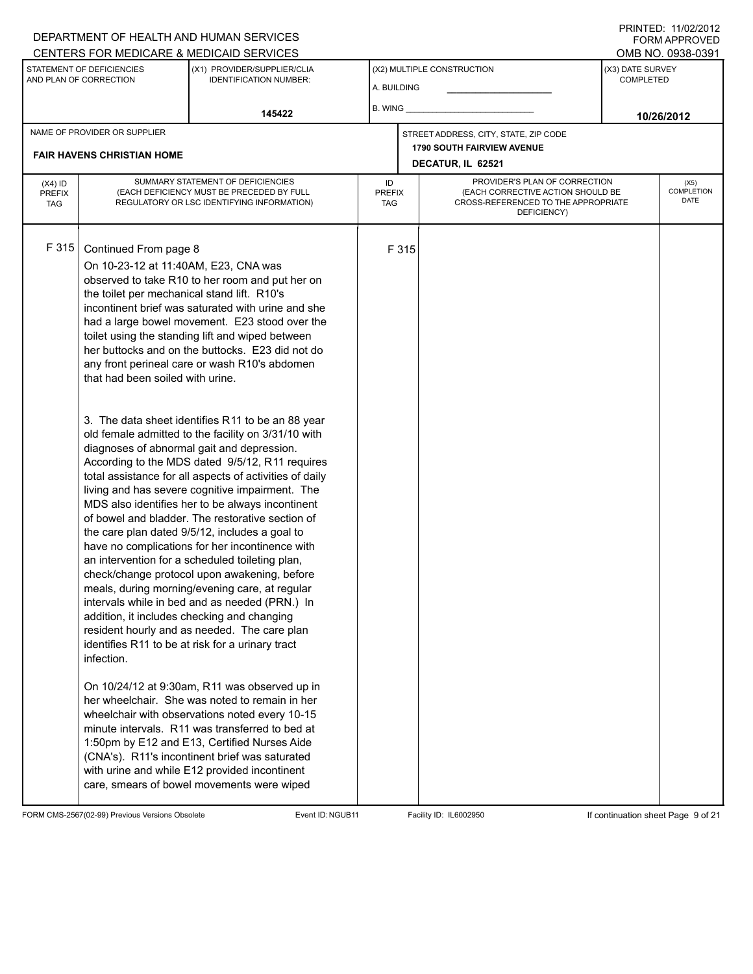PRINTED: 11/02/2012 FORM APPROVED<br>OMB NO. 0938-0391

|                                          | <u>CENTERS FOR MEDICARE &amp; MEDICAID SERVICES</u>                                                                                              |                                                                                                                                                                                                                                                                                                                                                                                                                                                                                                                                                                                                                                                                                                                                                                                                                                                                                                                                                                                                                                                                                                                                                                                                                                                                                                         |                            |       |                                                                                                                          |                               | UND INU. UYJU-UJY I        |
|------------------------------------------|--------------------------------------------------------------------------------------------------------------------------------------------------|---------------------------------------------------------------------------------------------------------------------------------------------------------------------------------------------------------------------------------------------------------------------------------------------------------------------------------------------------------------------------------------------------------------------------------------------------------------------------------------------------------------------------------------------------------------------------------------------------------------------------------------------------------------------------------------------------------------------------------------------------------------------------------------------------------------------------------------------------------------------------------------------------------------------------------------------------------------------------------------------------------------------------------------------------------------------------------------------------------------------------------------------------------------------------------------------------------------------------------------------------------------------------------------------------------|----------------------------|-------|--------------------------------------------------------------------------------------------------------------------------|-------------------------------|----------------------------|
|                                          | STATEMENT OF DEFICIENCIES<br>AND PLAN OF CORRECTION                                                                                              | (X1) PROVIDER/SUPPLIER/CLIA<br><b>IDENTIFICATION NUMBER:</b>                                                                                                                                                                                                                                                                                                                                                                                                                                                                                                                                                                                                                                                                                                                                                                                                                                                                                                                                                                                                                                                                                                                                                                                                                                            | A. BUILDING                |       | (X2) MULTIPLE CONSTRUCTION                                                                                               | (X3) DATE SURVEY<br>COMPLETED |                            |
|                                          |                                                                                                                                                  | 145422                                                                                                                                                                                                                                                                                                                                                                                                                                                                                                                                                                                                                                                                                                                                                                                                                                                                                                                                                                                                                                                                                                                                                                                                                                                                                                  |                            |       | B. WING <b>Example 20</b>                                                                                                |                               | 10/26/2012                 |
|                                          | NAME OF PROVIDER OR SUPPLIER<br><b>FAIR HAVENS CHRISTIAN HOME</b>                                                                                |                                                                                                                                                                                                                                                                                                                                                                                                                                                                                                                                                                                                                                                                                                                                                                                                                                                                                                                                                                                                                                                                                                                                                                                                                                                                                                         |                            |       | STREET ADDRESS, CITY, STATE, ZIP CODE<br><b>1790 SOUTH FAIRVIEW AVENUE</b><br>DECATUR, IL 62521                          |                               |                            |
| $(X4)$ ID<br><b>PREFIX</b><br><b>TAG</b> |                                                                                                                                                  | SUMMARY STATEMENT OF DEFICIENCIES<br>(EACH DEFICIENCY MUST BE PRECEDED BY FULL<br>REGULATORY OR LSC IDENTIFYING INFORMATION)                                                                                                                                                                                                                                                                                                                                                                                                                                                                                                                                                                                                                                                                                                                                                                                                                                                                                                                                                                                                                                                                                                                                                                            | ID<br><b>PREFIX</b><br>TAG |       | PROVIDER'S PLAN OF CORRECTION<br>(EACH CORRECTIVE ACTION SHOULD BE<br>CROSS-REFERENCED TO THE APPROPRIATE<br>DEFICIENCY) |                               | (X5)<br>COMPLETION<br>DATE |
| F315                                     | Continued From page 8<br>On 10-23-12 at 11:40AM, E23, CNA was<br>the toilet per mechanical stand lift. R10's<br>that had been soiled with urine. | observed to take R10 to her room and put her on<br>incontinent brief was saturated with urine and she<br>had a large bowel movement. E23 stood over the<br>toilet using the standing lift and wiped between<br>her buttocks and on the buttocks. E23 did not do<br>any front perineal care or wash R10's abdomen                                                                                                                                                                                                                                                                                                                                                                                                                                                                                                                                                                                                                                                                                                                                                                                                                                                                                                                                                                                        |                            | F 315 |                                                                                                                          |                               |                            |
|                                          | infection.                                                                                                                                       | 3. The data sheet identifies R11 to be an 88 year<br>old female admitted to the facility on 3/31/10 with<br>diagnoses of abnormal gait and depression.<br>According to the MDS dated 9/5/12, R11 requires<br>total assistance for all aspects of activities of daily<br>living and has severe cognitive impairment. The<br>MDS also identifies her to be always incontinent<br>of bowel and bladder. The restorative section of<br>the care plan dated 9/5/12, includes a goal to<br>have no complications for her incontinence with<br>an intervention for a scheduled toileting plan,<br>check/change protocol upon awakening, before<br>meals, during morning/evening care, at regular<br>intervals while in bed and as needed (PRN.) In<br>addition, it includes checking and changing<br>resident hourly and as needed. The care plan<br>identifies R11 to be at risk for a urinary tract<br>On 10/24/12 at 9:30am, R11 was observed up in<br>her wheelchair. She was noted to remain in her<br>wheelchair with observations noted every 10-15<br>minute intervals. R11 was transferred to bed at<br>1:50pm by E12 and E13, Certified Nurses Aide<br>(CNA's). R11's incontinent brief was saturated<br>with urine and while E12 provided incontinent<br>care, smears of bowel movements were wiped |                            |       |                                                                                                                          |                               |                            |

FORM CMS-2567(02-99) Previous Versions Obsolete Event ID:NGUB11 Facility ID: IL6002950 If continuation sheet Page 9 of 21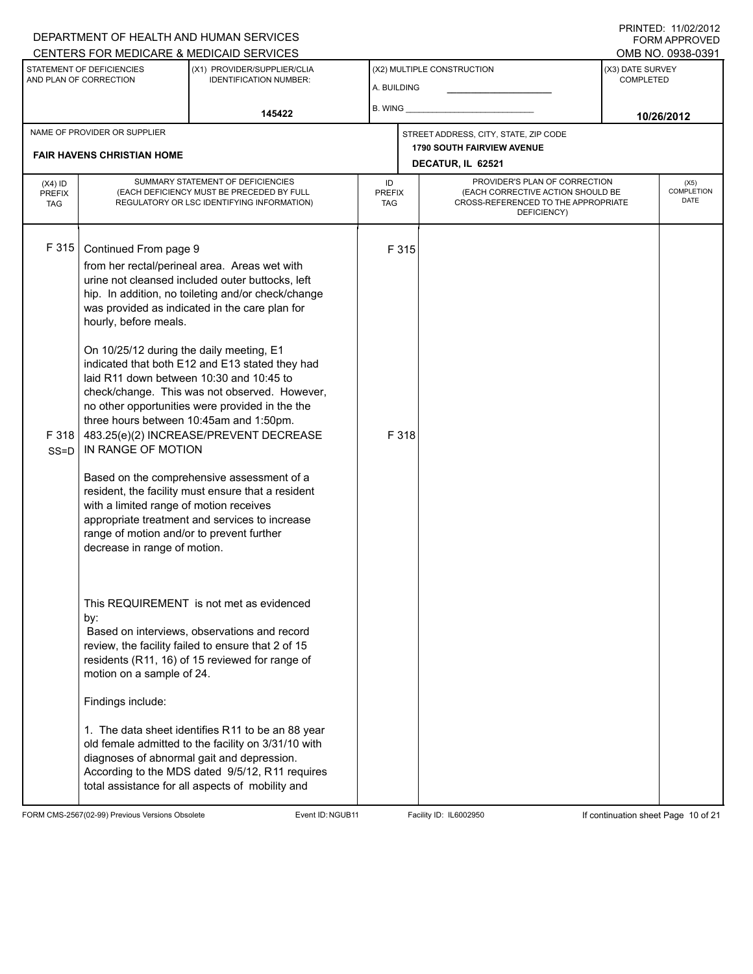PRINTED: 11/02/2012 FORM APPROVED

|                                          |                                                                                                                                                                               | CENTERS FOR MEDICARE & MEDICAID SERVICES                                                                                                                                                                                                                                                                                                                                                                                                                                                          |                            |                |                                                                                                                                               |                                      | OMB NO. 0938-0391                 |
|------------------------------------------|-------------------------------------------------------------------------------------------------------------------------------------------------------------------------------|---------------------------------------------------------------------------------------------------------------------------------------------------------------------------------------------------------------------------------------------------------------------------------------------------------------------------------------------------------------------------------------------------------------------------------------------------------------------------------------------------|----------------------------|----------------|-----------------------------------------------------------------------------------------------------------------------------------------------|--------------------------------------|-----------------------------------|
|                                          | STATEMENT OF DEFICIENCIES<br>AND PLAN OF CORRECTION                                                                                                                           | (X1) PROVIDER/SUPPLIER/CLIA<br><b>IDENTIFICATION NUMBER:</b>                                                                                                                                                                                                                                                                                                                                                                                                                                      | A. BUILDING                |                | (X2) MULTIPLE CONSTRUCTION                                                                                                                    | (X3) DATE SURVEY<br><b>COMPLETED</b> |                                   |
|                                          |                                                                                                                                                                               | 145422                                                                                                                                                                                                                                                                                                                                                                                                                                                                                            | <b>B. WING</b>             |                |                                                                                                                                               |                                      | 10/26/2012                        |
|                                          | NAME OF PROVIDER OR SUPPLIER<br><b>FAIR HAVENS CHRISTIAN HOME</b>                                                                                                             |                                                                                                                                                                                                                                                                                                                                                                                                                                                                                                   |                            |                | STREET ADDRESS, CITY, STATE, ZIP CODE<br><b>1790 SOUTH FAIRVIEW AVENUE</b>                                                                    |                                      |                                   |
| $(X4)$ ID<br><b>PREFIX</b><br><b>TAG</b> |                                                                                                                                                                               | SUMMARY STATEMENT OF DEFICIENCIES<br>(EACH DEFICIENCY MUST BE PRECEDED BY FULL<br>REGULATORY OR LSC IDENTIFYING INFORMATION)                                                                                                                                                                                                                                                                                                                                                                      | ID<br>PREFIX<br><b>TAG</b> |                | DECATUR, IL 62521<br>PROVIDER'S PLAN OF CORRECTION<br>(EACH CORRECTIVE ACTION SHOULD BE<br>CROSS-REFERENCED TO THE APPROPRIATE<br>DEFICIENCY) |                                      | (X5)<br>COMPLETION<br><b>DATE</b> |
| F 315<br>F 318<br>$SS = D$               | Continued From page 9<br>hourly, before meals.<br>On 10/25/12 during the daily meeting, E1<br>IN RANGE OF MOTION                                                              | from her rectal/perineal area. Areas wet with<br>urine not cleansed included outer buttocks, left<br>hip. In addition, no toileting and/or check/change<br>was provided as indicated in the care plan for<br>indicated that both E12 and E13 stated they had<br>laid R11 down between 10:30 and 10:45 to<br>check/change. This was not observed. However,<br>no other opportunities were provided in the the<br>three hours between 10:45am and 1:50pm.<br>483.25(e)(2) INCREASE/PREVENT DECREASE |                            | F 315<br>F 318 |                                                                                                                                               |                                      |                                   |
|                                          | with a limited range of motion receives<br>range of motion and/or to prevent further<br>decrease in range of motion.<br>by:<br>motion on a sample of 24.<br>Findings include: | Based on the comprehensive assessment of a<br>resident, the facility must ensure that a resident<br>appropriate treatment and services to increase<br>This REQUIREMENT is not met as evidenced<br>Based on interviews, observations and record<br>review, the facility failed to ensure that 2 of 15<br>residents (R11, 16) of 15 reviewed for range of                                                                                                                                           |                            |                |                                                                                                                                               |                                      |                                   |
|                                          |                                                                                                                                                                               | 1. The data sheet identifies R11 to be an 88 year<br>old female admitted to the facility on 3/31/10 with<br>diagnoses of abnormal gait and depression.<br>According to the MDS dated 9/5/12, R11 requires<br>total assistance for all aspects of mobility and                                                                                                                                                                                                                                     |                            |                |                                                                                                                                               |                                      |                                   |

FORM CMS-2567(02-99) Previous Versions Obsolete Event ID:NGUB11 Facility ID: IL6002950 If continuation sheet Page 10 of 21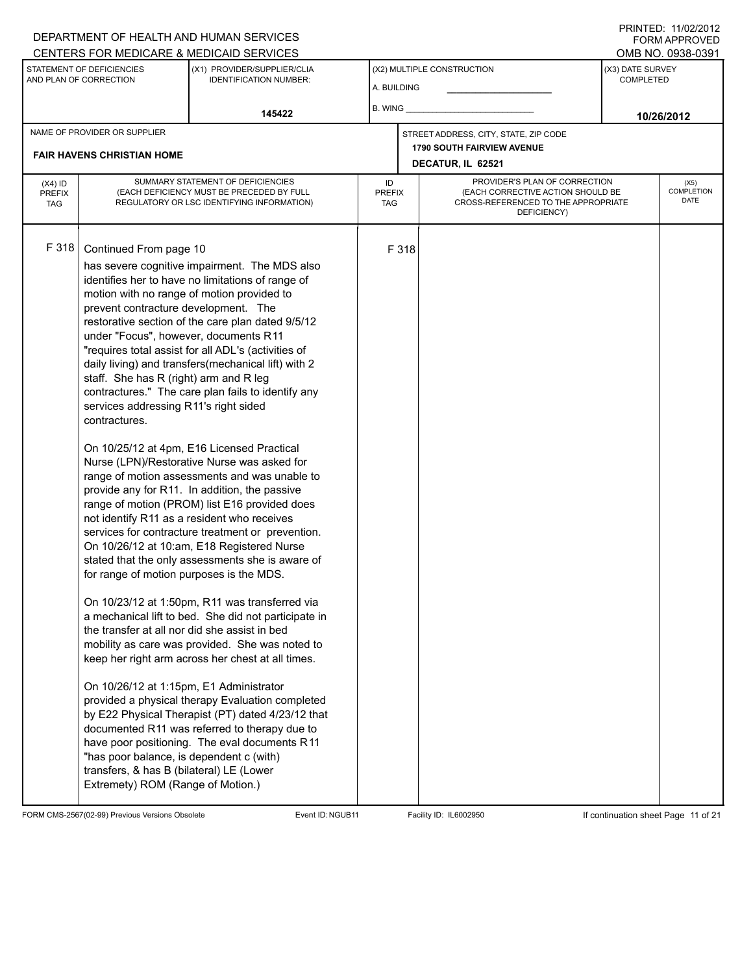PRINTED: 11/02/2012 FORM APPROVED

|                                          |                                                                                                                                                                                                                                                                                                                                                                                                                                                                                                                                | <u>CENTERS FOR MEDICARE &amp; MEDICAID SERVICES</u>                                                                                                                                                                                                                                                                                                                                                                                                                                                                                                                                                                                                                                                                                                                                                                                                                                                                                                                                                                                                                                                                                                                                                            |                            |       |                                                                                                                          |                                      | OMB NO. 0938-0391          |
|------------------------------------------|--------------------------------------------------------------------------------------------------------------------------------------------------------------------------------------------------------------------------------------------------------------------------------------------------------------------------------------------------------------------------------------------------------------------------------------------------------------------------------------------------------------------------------|----------------------------------------------------------------------------------------------------------------------------------------------------------------------------------------------------------------------------------------------------------------------------------------------------------------------------------------------------------------------------------------------------------------------------------------------------------------------------------------------------------------------------------------------------------------------------------------------------------------------------------------------------------------------------------------------------------------------------------------------------------------------------------------------------------------------------------------------------------------------------------------------------------------------------------------------------------------------------------------------------------------------------------------------------------------------------------------------------------------------------------------------------------------------------------------------------------------|----------------------------|-------|--------------------------------------------------------------------------------------------------------------------------|--------------------------------------|----------------------------|
|                                          | STATEMENT OF DEFICIENCIES<br>AND PLAN OF CORRECTION                                                                                                                                                                                                                                                                                                                                                                                                                                                                            | (X1) PROVIDER/SUPPLIER/CLIA<br><b>IDENTIFICATION NUMBER:</b>                                                                                                                                                                                                                                                                                                                                                                                                                                                                                                                                                                                                                                                                                                                                                                                                                                                                                                                                                                                                                                                                                                                                                   | A. BUILDING                |       | (X2) MULTIPLE CONSTRUCTION                                                                                               | (X3) DATE SURVEY<br><b>COMPLETED</b> |                            |
|                                          |                                                                                                                                                                                                                                                                                                                                                                                                                                                                                                                                | 145422                                                                                                                                                                                                                                                                                                                                                                                                                                                                                                                                                                                                                                                                                                                                                                                                                                                                                                                                                                                                                                                                                                                                                                                                         | B. WING                    |       |                                                                                                                          |                                      | 10/26/2012                 |
|                                          | NAME OF PROVIDER OR SUPPLIER                                                                                                                                                                                                                                                                                                                                                                                                                                                                                                   |                                                                                                                                                                                                                                                                                                                                                                                                                                                                                                                                                                                                                                                                                                                                                                                                                                                                                                                                                                                                                                                                                                                                                                                                                |                            |       | STREET ADDRESS, CITY, STATE, ZIP CODE                                                                                    |                                      |                            |
|                                          | <b>FAIR HAVENS CHRISTIAN HOME</b>                                                                                                                                                                                                                                                                                                                                                                                                                                                                                              |                                                                                                                                                                                                                                                                                                                                                                                                                                                                                                                                                                                                                                                                                                                                                                                                                                                                                                                                                                                                                                                                                                                                                                                                                |                            |       | <b>1790 SOUTH FAIRVIEW AVENUE</b><br>DECATUR, IL 62521                                                                   |                                      |                            |
| $(X4)$ ID<br><b>PREFIX</b><br><b>TAG</b> |                                                                                                                                                                                                                                                                                                                                                                                                                                                                                                                                | SUMMARY STATEMENT OF DEFICIENCIES<br>(EACH DEFICIENCY MUST BE PRECEDED BY FULL<br>REGULATORY OR LSC IDENTIFYING INFORMATION)                                                                                                                                                                                                                                                                                                                                                                                                                                                                                                                                                                                                                                                                                                                                                                                                                                                                                                                                                                                                                                                                                   | ID<br><b>PREFIX</b><br>TAG |       | PROVIDER'S PLAN OF CORRECTION<br>(EACH CORRECTIVE ACTION SHOULD BE<br>CROSS-REFERENCED TO THE APPROPRIATE<br>DEFICIENCY) |                                      | (X5)<br>COMPLETION<br>DATE |
| F 318                                    | Continued From page 10<br>motion with no range of motion provided to<br>prevent contracture development. The<br>under "Focus", however, documents R11<br>staff. She has R (right) arm and R leg<br>services addressing R11's right sided<br>contractures.<br>for range of motion purposes is the MDS.<br>the transfer at all nor did she assist in bed<br>On 10/26/12 at 1:15pm, E1 Administrator<br>"has poor balance, is dependent c (with)<br>transfers, & has B (bilateral) LE (Lower<br>Extremety) ROM (Range of Motion.) | has severe cognitive impairment. The MDS also<br>identifies her to have no limitations of range of<br>restorative section of the care plan dated 9/5/12<br>"requires total assist for all ADL's (activities of<br>daily living) and transfers(mechanical lift) with 2<br>contractures." The care plan fails to identify any<br>On 10/25/12 at 4pm, E16 Licensed Practical<br>Nurse (LPN)/Restorative Nurse was asked for<br>range of motion assessments and was unable to<br>provide any for R11. In addition, the passive<br>range of motion (PROM) list E16 provided does<br>not identify R11 as a resident who receives<br>services for contracture treatment or prevention.<br>On 10/26/12 at 10:am, E18 Registered Nurse<br>stated that the only assessments she is aware of<br>On 10/23/12 at 1:50pm, R11 was transferred via<br>a mechanical lift to bed. She did not participate in<br>mobility as care was provided. She was noted to<br>keep her right arm across her chest at all times.<br>provided a physical therapy Evaluation completed<br>by E22 Physical Therapist (PT) dated 4/23/12 that<br>documented R11 was referred to therapy due to<br>have poor positioning. The eval documents R11 |                            | F 318 |                                                                                                                          |                                      |                            |

FORM CMS-2567(02-99) Previous Versions Obsolete Event ID:NGUB11 Facility ID: IL6002950 If continuation sheet Page 11 of 21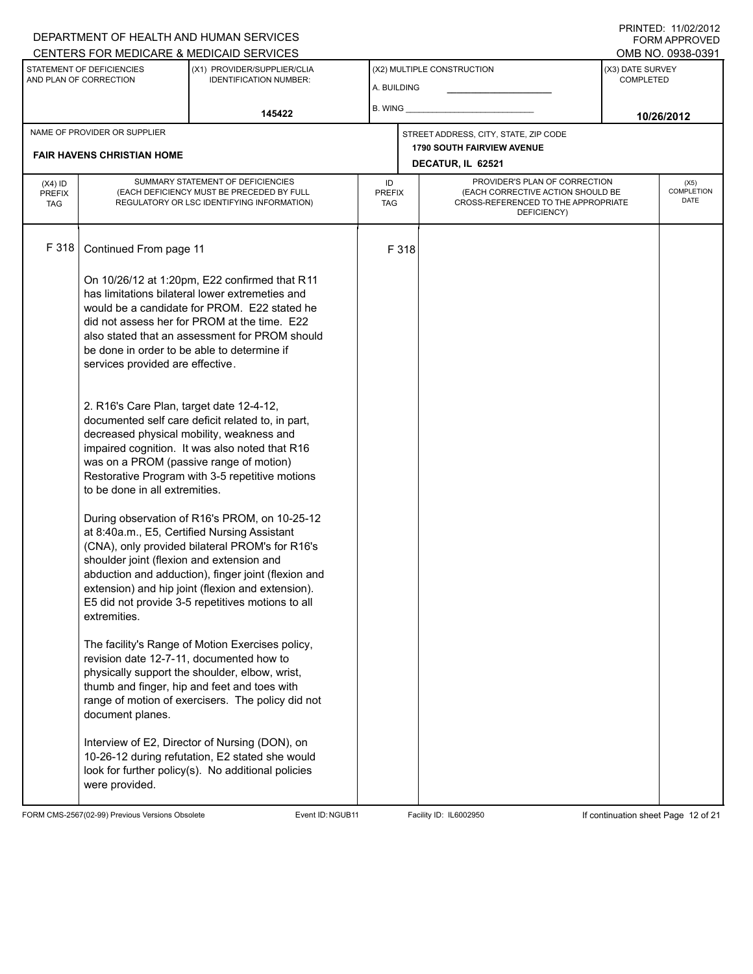PRINTED: 11/02/2012 FORM APPROVED

|                                          |                                                                                                                                                                                                                                                                                                                                        | CENTERS FOR MEDICARE & MEDICAID SERVICES                                                                                                                                                                                                                                                                                                                                                                                                                                                                                                                                                                                                                                                                                                                                                                                                                                                                                                                                                                                                                                                                                                                                                        |                                   |       |                                                                                                                          |                                      | OMB NO. 0938-0391                 |
|------------------------------------------|----------------------------------------------------------------------------------------------------------------------------------------------------------------------------------------------------------------------------------------------------------------------------------------------------------------------------------------|-------------------------------------------------------------------------------------------------------------------------------------------------------------------------------------------------------------------------------------------------------------------------------------------------------------------------------------------------------------------------------------------------------------------------------------------------------------------------------------------------------------------------------------------------------------------------------------------------------------------------------------------------------------------------------------------------------------------------------------------------------------------------------------------------------------------------------------------------------------------------------------------------------------------------------------------------------------------------------------------------------------------------------------------------------------------------------------------------------------------------------------------------------------------------------------------------|-----------------------------------|-------|--------------------------------------------------------------------------------------------------------------------------|--------------------------------------|-----------------------------------|
|                                          | STATEMENT OF DEFICIENCIES<br>AND PLAN OF CORRECTION                                                                                                                                                                                                                                                                                    | (X1) PROVIDER/SUPPLIER/CLIA<br><b>IDENTIFICATION NUMBER:</b>                                                                                                                                                                                                                                                                                                                                                                                                                                                                                                                                                                                                                                                                                                                                                                                                                                                                                                                                                                                                                                                                                                                                    | A. BUILDING                       |       | (X2) MULTIPLE CONSTRUCTION                                                                                               | (X3) DATE SURVEY<br><b>COMPLETED</b> |                                   |
|                                          |                                                                                                                                                                                                                                                                                                                                        | 145422                                                                                                                                                                                                                                                                                                                                                                                                                                                                                                                                                                                                                                                                                                                                                                                                                                                                                                                                                                                                                                                                                                                                                                                          | B. WING                           |       |                                                                                                                          |                                      | 10/26/2012                        |
|                                          | NAME OF PROVIDER OR SUPPLIER                                                                                                                                                                                                                                                                                                           |                                                                                                                                                                                                                                                                                                                                                                                                                                                                                                                                                                                                                                                                                                                                                                                                                                                                                                                                                                                                                                                                                                                                                                                                 |                                   |       | STREET ADDRESS, CITY, STATE, ZIP CODE                                                                                    |                                      |                                   |
|                                          | <b>FAIR HAVENS CHRISTIAN HOME</b>                                                                                                                                                                                                                                                                                                      |                                                                                                                                                                                                                                                                                                                                                                                                                                                                                                                                                                                                                                                                                                                                                                                                                                                                                                                                                                                                                                                                                                                                                                                                 |                                   |       | <b>1790 SOUTH FAIRVIEW AVENUE</b><br>DECATUR, IL 62521                                                                   |                                      |                                   |
| $(X4)$ ID<br><b>PREFIX</b><br><b>TAG</b> |                                                                                                                                                                                                                                                                                                                                        | SUMMARY STATEMENT OF DEFICIENCIES<br>(EACH DEFICIENCY MUST BE PRECEDED BY FULL<br>REGULATORY OR LSC IDENTIFYING INFORMATION)                                                                                                                                                                                                                                                                                                                                                                                                                                                                                                                                                                                                                                                                                                                                                                                                                                                                                                                                                                                                                                                                    | ID<br><b>PREFIX</b><br><b>TAG</b> |       | PROVIDER'S PLAN OF CORRECTION<br>(EACH CORRECTIVE ACTION SHOULD BE<br>CROSS-REFERENCED TO THE APPROPRIATE<br>DEFICIENCY) |                                      | (X5)<br><b>COMPLETION</b><br>DATE |
| F 318                                    | Continued From page 11<br>be done in order to be able to determine if<br>services provided are effective.<br>2. R16's Care Plan, target date 12-4-12,<br>to be done in all extremities.<br>shoulder joint (flexion and extension and<br>extremities.<br>revision date 12-7-11, documented how to<br>document planes.<br>were provided. | On 10/26/12 at 1:20pm, E22 confirmed that R11<br>has limitations bilateral lower extremeties and<br>would be a candidate for PROM. E22 stated he<br>did not assess her for PROM at the time. E22<br>also stated that an assessment for PROM should<br>documented self care deficit related to, in part,<br>decreased physical mobility, weakness and<br>impaired cognition. It was also noted that R16<br>was on a PROM (passive range of motion)<br>Restorative Program with 3-5 repetitive motions<br>During observation of R16's PROM, on 10-25-12<br>at 8:40a.m., E5, Certified Nursing Assistant<br>(CNA), only provided bilateral PROM's for R16's<br>abduction and adduction), finger joint (flexion and<br>extension) and hip joint (flexion and extension).<br>E5 did not provide 3-5 repetitives motions to all<br>The facility's Range of Motion Exercises policy,<br>physically support the shoulder, elbow, wrist,<br>thumb and finger, hip and feet and toes with<br>range of motion of exercisers. The policy did not<br>Interview of E2, Director of Nursing (DON), on<br>10-26-12 during refutation, E2 stated she would<br>look for further policy(s). No additional policies |                                   | F 318 |                                                                                                                          |                                      |                                   |
|                                          |                                                                                                                                                                                                                                                                                                                                        |                                                                                                                                                                                                                                                                                                                                                                                                                                                                                                                                                                                                                                                                                                                                                                                                                                                                                                                                                                                                                                                                                                                                                                                                 |                                   |       |                                                                                                                          |                                      |                                   |

FORM CMS-2567(02-99) Previous Versions Obsolete Event ID:NGUB11 Facility ID: IL6002950 If continuation sheet Page 12 of 21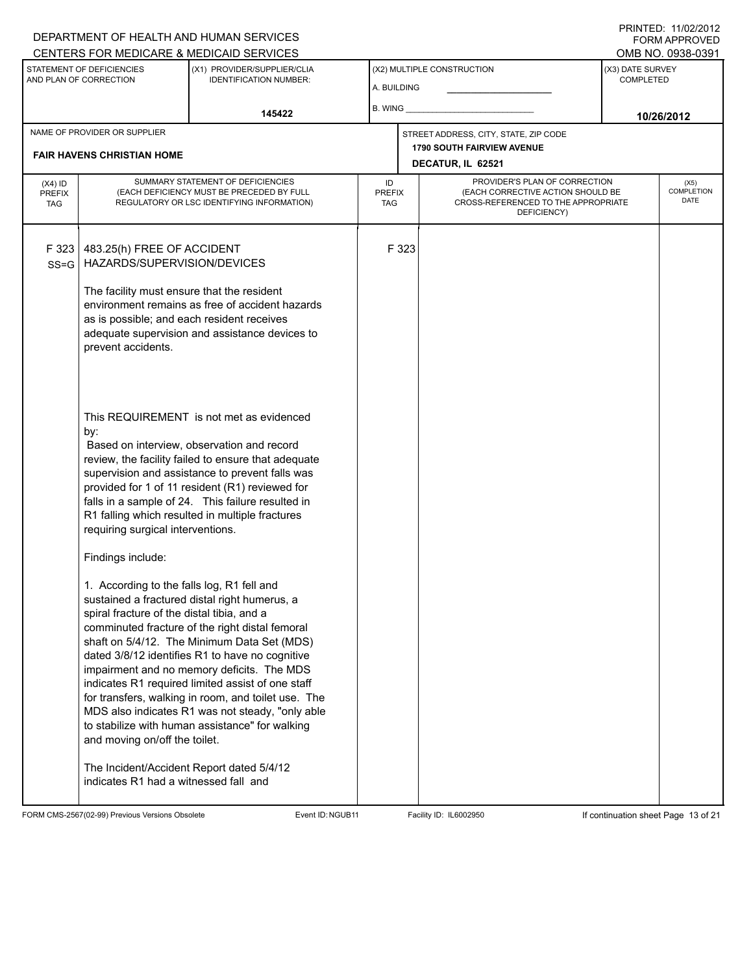#### A. BUILDING (X1) PROVIDER/SUPPLIER/CLIA IDENTIFICATION NUMBER: STATEMENT OF DEFICIENCIES AND PLAN OF CORRECTION (X3) DATE SURVEY COMPLETED (X2) MULTIPLE CONSTRUCTION B. WING CENTERS FOR MEDICARE & MEDICAID SERVICES OMB NO. 0938-0391 **145422 10/26/2012 DECATUR, IL 62521** NAME OF PROVIDER OR SUPPLIER STREET ADDRESS, CITY, STATE, ZIP CODE **FAIR HAVENS CHRISTIAN HOME 1790 SOUTH FAIRVIEW AVENUE** PROVIDER'S PLAN OF CORRECTION (EACH CORRECTIVE ACTION SHOULD BE CROSS-REFERENCED TO THE APPROPRIATE DEFICIENCY) (X5) **COMPLETION** DATE ID PREFIX TAG (X4) ID PREFIX TAG SUMMARY STATEMENT OF DEFICIENCIES (EACH DEFICIENCY MUST BE PRECEDED BY FULL REGULATORY OR LSC IDENTIFYING INFORMATION) F 323 SS=G 483.25(h) FREE OF ACCIDENT HAZARDS/SUPERVISION/DEVICES The facility must ensure that the resident environment remains as free of accident hazards as is possible; and each resident receives adequate supervision and assistance devices to prevent accidents. This REQUIREMENT is not met as evidenced by: F 323 Based on interview, observation and record review, the facility failed to ensure that adequate supervision and assistance to prevent falls was provided for 1 of 11 resident (R1) reviewed for falls in a sample of 24. This failure resulted in R1 falling which resulted in multiple fractures requiring surgical interventions. Findings include: 1. According to the falls log, R1 fell and sustained a fractured distal right humerus, a spiral fracture of the distal tibia, and a comminuted fracture of the right distal femoral shaft on 5/4/12. The Minimum Data Set (MDS) dated 3/8/12 identifies R1 to have no cognitive impairment and no memory deficits. The MDS indicates R1 required limited assist of one staff for transfers, walking in room, and toilet use. The MDS also indicates R1 was not steady, "only able to stabilize with human assistance" for walking and moving on/off the toilet. The Incident/Accident Report dated 5/4/12 indicates R1 had a witnessed fall and

FORM CMS-2567(02-99) Previous Versions Obsolete Event ID:NGUB11 Facility ID: IL6002950 If continuation sheet Page 13 of 21

DEPARTMENT OF HEALTH AND HUMAN SERVICES

PRINTED: 11/02/2012 FORM APPROVED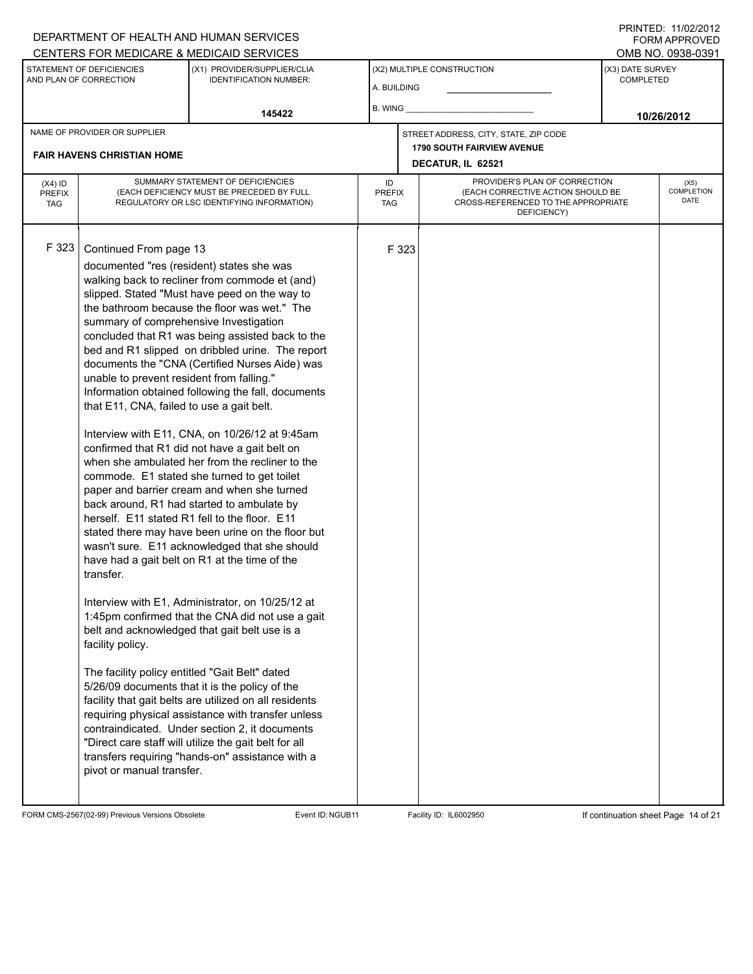PRINTED: 11/02/2012 FORM APPROVED

|                                          |                                                                                                                                                                                                                                                                            | <u>UENTERS FUR MEDIUARE &amp; MEDIUAID SERVIUES</u>                                                                                                                                                                                                                                                                                                                                                                                                                                                                                                                                                                                                                                                                                                                                                                                                                                                                                                                                                                                                                                                                                                                                                                                                                                                                                                                                                              |                                   |       |                                                                                                                          |                                      | OMB NO. 0938-039 I                |
|------------------------------------------|----------------------------------------------------------------------------------------------------------------------------------------------------------------------------------------------------------------------------------------------------------------------------|------------------------------------------------------------------------------------------------------------------------------------------------------------------------------------------------------------------------------------------------------------------------------------------------------------------------------------------------------------------------------------------------------------------------------------------------------------------------------------------------------------------------------------------------------------------------------------------------------------------------------------------------------------------------------------------------------------------------------------------------------------------------------------------------------------------------------------------------------------------------------------------------------------------------------------------------------------------------------------------------------------------------------------------------------------------------------------------------------------------------------------------------------------------------------------------------------------------------------------------------------------------------------------------------------------------------------------------------------------------------------------------------------------------|-----------------------------------|-------|--------------------------------------------------------------------------------------------------------------------------|--------------------------------------|-----------------------------------|
|                                          | STATEMENT OF DEFICIENCIES<br>AND PLAN OF CORRECTION                                                                                                                                                                                                                        | (X1) PROVIDER/SUPPLIER/CLIA<br><b>IDENTIFICATION NUMBER:</b>                                                                                                                                                                                                                                                                                                                                                                                                                                                                                                                                                                                                                                                                                                                                                                                                                                                                                                                                                                                                                                                                                                                                                                                                                                                                                                                                                     | A. BUILDING                       |       | (X2) MULTIPLE CONSTRUCTION                                                                                               | (X3) DATE SURVEY<br><b>COMPLETED</b> |                                   |
|                                          |                                                                                                                                                                                                                                                                            | 145422                                                                                                                                                                                                                                                                                                                                                                                                                                                                                                                                                                                                                                                                                                                                                                                                                                                                                                                                                                                                                                                                                                                                                                                                                                                                                                                                                                                                           | B. WING                           |       |                                                                                                                          |                                      | 10/26/2012                        |
|                                          | NAME OF PROVIDER OR SUPPLIER                                                                                                                                                                                                                                               |                                                                                                                                                                                                                                                                                                                                                                                                                                                                                                                                                                                                                                                                                                                                                                                                                                                                                                                                                                                                                                                                                                                                                                                                                                                                                                                                                                                                                  |                                   |       | STREET ADDRESS, CITY, STATE, ZIP CODE                                                                                    |                                      |                                   |
|                                          | <b>FAIR HAVENS CHRISTIAN HOME</b>                                                                                                                                                                                                                                          |                                                                                                                                                                                                                                                                                                                                                                                                                                                                                                                                                                                                                                                                                                                                                                                                                                                                                                                                                                                                                                                                                                                                                                                                                                                                                                                                                                                                                  |                                   |       | <b>1790 SOUTH FAIRVIEW AVENUE</b><br>DECATUR, IL 62521                                                                   |                                      |                                   |
| $(X4)$ ID<br><b>PREFIX</b><br><b>TAG</b> |                                                                                                                                                                                                                                                                            | SUMMARY STATEMENT OF DEFICIENCIES<br>(EACH DEFICIENCY MUST BE PRECEDED BY FULL<br>REGULATORY OR LSC IDENTIFYING INFORMATION)                                                                                                                                                                                                                                                                                                                                                                                                                                                                                                                                                                                                                                                                                                                                                                                                                                                                                                                                                                                                                                                                                                                                                                                                                                                                                     | ID<br><b>PREFIX</b><br><b>TAG</b> |       | PROVIDER'S PLAN OF CORRECTION<br>(EACH CORRECTIVE ACTION SHOULD BE<br>CROSS-REFERENCED TO THE APPROPRIATE<br>DEFICIENCY) |                                      | (X5)<br>COMPLETION<br><b>DATE</b> |
| F 323                                    | Continued From page 13<br>summary of comprehensive Investigation<br>unable to prevent resident from falling."<br>that E11, CNA, failed to use a gait belt.<br>transfer.<br>facility policy.<br>The facility policy entitled "Gait Belt" dated<br>pivot or manual transfer. | documented "res (resident) states she was<br>walking back to recliner from commode et (and)<br>slipped. Stated "Must have peed on the way to<br>the bathroom because the floor was wet." The<br>concluded that R1 was being assisted back to the<br>bed and R1 slipped on dribbled urine. The report<br>documents the "CNA (Certified Nurses Aide) was<br>Information obtained following the fall, documents<br>Interview with E11, CNA, on 10/26/12 at 9:45am<br>confirmed that R1 did not have a gait belt on<br>when she ambulated her from the recliner to the<br>commode. E1 stated she turned to get toilet<br>paper and barrier cream and when she turned<br>back around, R1 had started to ambulate by<br>herself. E11 stated R1 fell to the floor. E11<br>stated there may have been urine on the floor but<br>wasn't sure. E11 acknowledged that she should<br>have had a gait belt on R1 at the time of the<br>Interview with E1, Administrator, on 10/25/12 at<br>1:45pm confirmed that the CNA did not use a gait<br>belt and acknowledged that gait belt use is a<br>5/26/09 documents that it is the policy of the<br>facility that gait belts are utilized on all residents<br>requiring physical assistance with transfer unless<br>contraindicated. Under section 2, it documents<br>"Direct care staff will utilize the gait belt for all<br>transfers requiring "hands-on" assistance with a |                                   | F 323 |                                                                                                                          |                                      |                                   |

FORM CMS-2567(02-99) Previous Versions Obsolete Event ID:NGUB11 Facility ID: IL6002950 If continuation sheet Page 14 of 21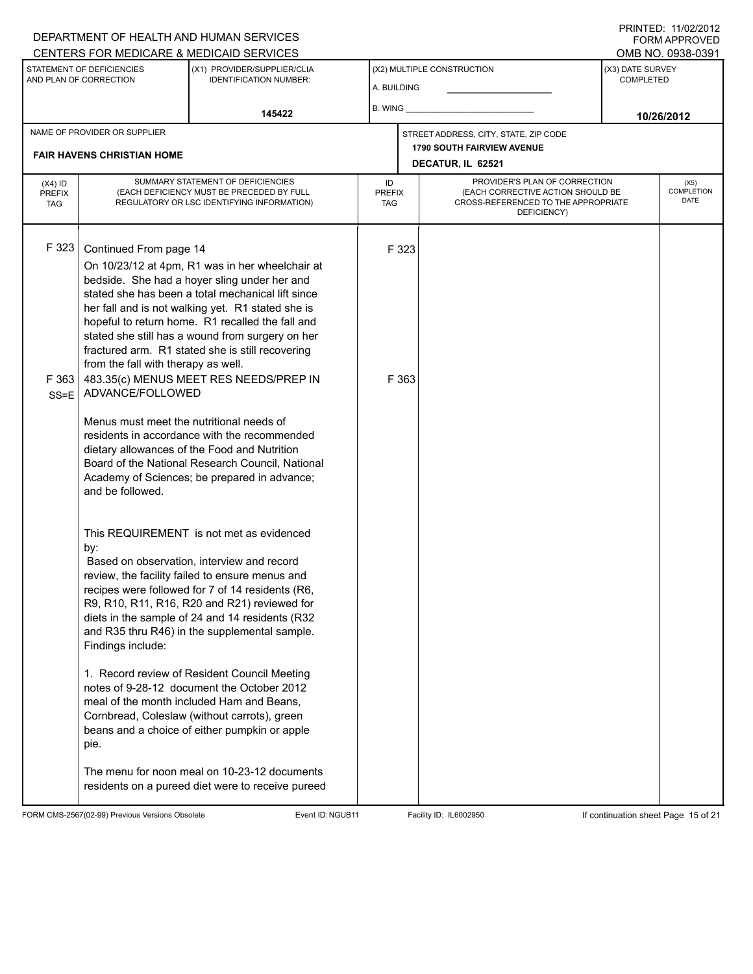#### A. BUILDING (X1) PROVIDER/SUPPLIER/CLIA IDENTIFICATION NUMBER: STATEMENT OF DEFICIENCIES AND PLAN OF CORRECTION (X3) DATE SURVEY COMPLETED (X2) MULTIPLE CONSTRUCTION B. WING CENTERS FOR MEDICARE & MEDICAID SERVICES **And CENTERS FOR MEDICAL ACCESS** OMB NO. 0938-0391 **145422 10/26/2012 DECATUR, IL 62521** NAME OF PROVIDER OR SUPPLIER STREET ADDRESS, CITY, STATE, ZIP CODE **FAIR HAVENS CHRISTIAN HOME 1790 SOUTH FAIRVIEW AVENUE** PROVIDER'S PLAN OF CORRECTION (EACH CORRECTIVE ACTION SHOULD BE CROSS-REFERENCED TO THE APPROPRIATE DEFICIENCY) (X5) **COMPLETION** DATE ID PREFIX TAG (X4) ID PREFIX TAG SUMMARY STATEMENT OF DEFICIENCIES (EACH DEFICIENCY MUST BE PRECEDED BY FULL REGULATORY OR LSC IDENTIFYING INFORMATION) F 323 Continued From page 14 F 323 On 10/23/12 at 4pm, R1 was in her wheelchair at bedside. She had a hoyer sling under her and stated she has been a total mechanical lift since her fall and is not walking yet. R1 stated she is hopeful to return home. R1 recalled the fall and stated she still has a wound from surgery on her fractured arm. R1 stated she is still recovering from the fall with therapy as well. F 363 SS=E 483.35(c) MENUS MEET RES NEEDS/PREP IN ADVANCE/FOLLOWED Menus must meet the nutritional needs of residents in accordance with the recommended dietary allowances of the Food and Nutrition Board of the National Research Council, National Academy of Sciences; be prepared in advance; and be followed. This REQUIREMENT is not met as evidenced by: F 363 Based on observation, interview and record review, the facility failed to ensure menus and recipes were followed for 7 of 14 residents (R6, R9, R10, R11, R16, R20 and R21) reviewed for diets in the sample of 24 and 14 residents (R32 and R35 thru R46) in the supplemental sample. Findings include: 1. Record review of Resident Council Meeting notes of 9-28-12 document the October 2012 meal of the month included Ham and Beans, Cornbread, Coleslaw (without carrots), green beans and a choice of either pumpkin or apple pie. The menu for noon meal on 10-23-12 documents residents on a pureed diet were to receive pureed

FORM CMS-2567(02-99) Previous Versions Obsolete Event ID:NGUB11 Facility ID: IL6002950 If continuation sheet Page 15 of 21

DEPARTMENT OF HEALTH AND HUMAN SERVICES

PRINTED: 11/02/2012 FORM APPROVED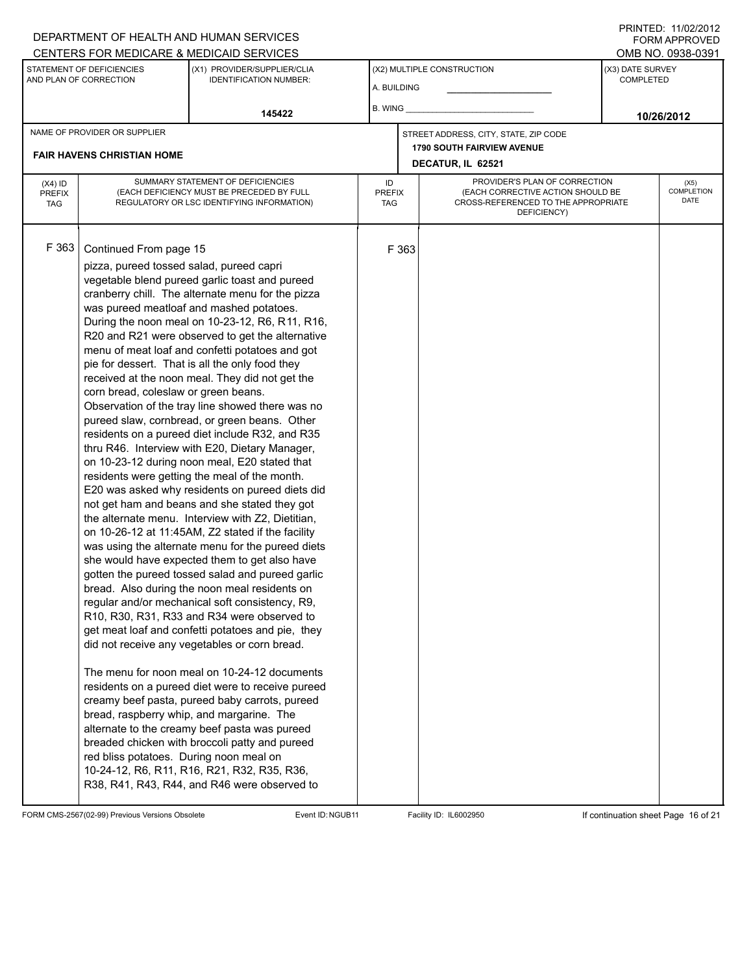PRINTED: 11/02/2012 FORM APPROVED<br>OMB NO. 0938-0391

|                                          |                                                                                                                                                       | <u>ULIVILING FUN MILDIUANE &amp; MEDIUAID SENVIULS</u>                                                                                                                                                                                                                                                                                                                                                                                                                                                                                                                                                                                                                                                                                                                                                                                                                                                                                                                                                                                                                                                                                                                                                                                                                                                                                                                                                                                                                                                                                                                                                                                                                                                                                                             |                                   |       |                                                                                                                          |                                      | UMD INU. UYUU-UJYI                |
|------------------------------------------|-------------------------------------------------------------------------------------------------------------------------------------------------------|--------------------------------------------------------------------------------------------------------------------------------------------------------------------------------------------------------------------------------------------------------------------------------------------------------------------------------------------------------------------------------------------------------------------------------------------------------------------------------------------------------------------------------------------------------------------------------------------------------------------------------------------------------------------------------------------------------------------------------------------------------------------------------------------------------------------------------------------------------------------------------------------------------------------------------------------------------------------------------------------------------------------------------------------------------------------------------------------------------------------------------------------------------------------------------------------------------------------------------------------------------------------------------------------------------------------------------------------------------------------------------------------------------------------------------------------------------------------------------------------------------------------------------------------------------------------------------------------------------------------------------------------------------------------------------------------------------------------------------------------------------------------|-----------------------------------|-------|--------------------------------------------------------------------------------------------------------------------------|--------------------------------------|-----------------------------------|
|                                          | STATEMENT OF DEFICIENCIES<br>AND PLAN OF CORRECTION                                                                                                   | (X1) PROVIDER/SUPPLIER/CLIA<br><b>IDENTIFICATION NUMBER:</b>                                                                                                                                                                                                                                                                                                                                                                                                                                                                                                                                                                                                                                                                                                                                                                                                                                                                                                                                                                                                                                                                                                                                                                                                                                                                                                                                                                                                                                                                                                                                                                                                                                                                                                       | A. BUILDING                       |       | (X2) MULTIPLE CONSTRUCTION                                                                                               | (X3) DATE SURVEY<br><b>COMPLETED</b> |                                   |
|                                          |                                                                                                                                                       | 145422                                                                                                                                                                                                                                                                                                                                                                                                                                                                                                                                                                                                                                                                                                                                                                                                                                                                                                                                                                                                                                                                                                                                                                                                                                                                                                                                                                                                                                                                                                                                                                                                                                                                                                                                                             |                                   |       | B. WING <b>Example 20</b>                                                                                                |                                      | 10/26/2012                        |
|                                          | NAME OF PROVIDER OR SUPPLIER<br><b>FAIR HAVENS CHRISTIAN HOME</b>                                                                                     |                                                                                                                                                                                                                                                                                                                                                                                                                                                                                                                                                                                                                                                                                                                                                                                                                                                                                                                                                                                                                                                                                                                                                                                                                                                                                                                                                                                                                                                                                                                                                                                                                                                                                                                                                                    |                                   |       | STREET ADDRESS, CITY, STATE, ZIP CODE<br><b>1790 SOUTH FAIRVIEW AVENUE</b><br>DECATUR, IL 62521                          |                                      |                                   |
| $(X4)$ ID<br><b>PREFIX</b><br><b>TAG</b> |                                                                                                                                                       | SUMMARY STATEMENT OF DEFICIENCIES<br>(EACH DEFICIENCY MUST BE PRECEDED BY FULL<br>REGULATORY OR LSC IDENTIFYING INFORMATION)                                                                                                                                                                                                                                                                                                                                                                                                                                                                                                                                                                                                                                                                                                                                                                                                                                                                                                                                                                                                                                                                                                                                                                                                                                                                                                                                                                                                                                                                                                                                                                                                                                       | ID<br><b>PREFIX</b><br><b>TAG</b> |       | PROVIDER'S PLAN OF CORRECTION<br>(EACH CORRECTIVE ACTION SHOULD BE<br>CROSS-REFERENCED TO THE APPROPRIATE<br>DEFICIENCY) |                                      | (X5)<br><b>COMPLETION</b><br>DATE |
| F 363                                    | Continued From page 15<br>pizza, pureed tossed salad, pureed capri<br>corn bread, coleslaw or green beans.<br>red bliss potatoes. During noon meal on | vegetable blend pureed garlic toast and pureed<br>cranberry chill. The alternate menu for the pizza<br>was pureed meatloaf and mashed potatoes.<br>During the noon meal on 10-23-12, R6, R11, R16,<br>R20 and R21 were observed to get the alternative<br>menu of meat loaf and confetti potatoes and got<br>pie for dessert. That is all the only food they<br>received at the noon meal. They did not get the<br>Observation of the tray line showed there was no<br>pureed slaw, cornbread, or green beans. Other<br>residents on a pureed diet include R32, and R35<br>thru R46. Interview with E20, Dietary Manager,<br>on 10-23-12 during noon meal, E20 stated that<br>residents were getting the meal of the month.<br>E20 was asked why residents on pureed diets did<br>not get ham and beans and she stated they got<br>the alternate menu. Interview with Z2, Dietitian,<br>on 10-26-12 at 11:45AM, Z2 stated if the facility<br>was using the alternate menu for the pureed diets<br>she would have expected them to get also have<br>gotten the pureed tossed salad and pureed garlic<br>bread. Also during the noon meal residents on<br>regular and/or mechanical soft consistency, R9.<br>R10, R30, R31, R33 and R34 were observed to<br>get meat loaf and confetti potatoes and pie, they<br>did not receive any vegetables or corn bread.<br>The menu for noon meal on 10-24-12 documents<br>residents on a pureed diet were to receive pureed<br>creamy beef pasta, pureed baby carrots, pureed<br>bread, raspberry whip, and margarine. The<br>alternate to the creamy beef pasta was pureed<br>breaded chicken with broccoli patty and pureed<br>10-24-12, R6, R11, R16, R21, R32, R35, R36,<br>R38, R41, R43, R44, and R46 were observed to |                                   | F 363 |                                                                                                                          |                                      |                                   |

FORM CMS-2567(02-99) Previous Versions Obsolete Event ID:NGUB11 Facility ID: IL6002950 If continuation sheet Page 16 of 21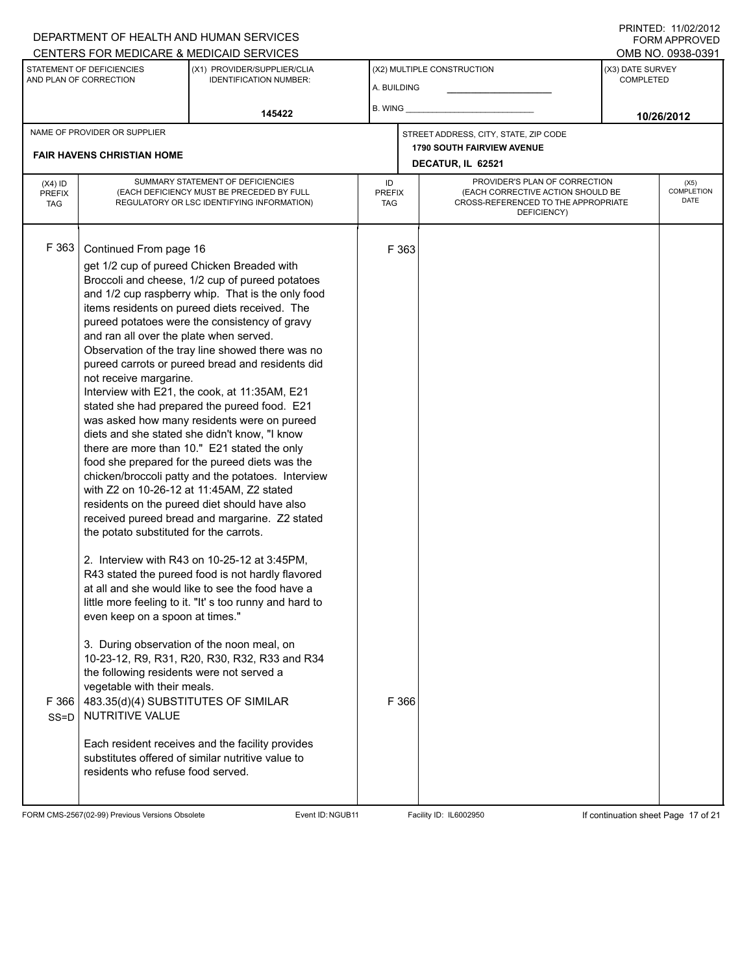PRINTED: 11/02/2012 FORM APPROVED

|                                          |                                                                                                                                                                                                                                                                                                                                                      | CENTERS FOR MEDICARE & MEDICAID SERVICES                                                                                                                                                                                                                                                                                                                                                                                                                                                                                                                                                                                                                                                                                                                                                                                                                                                                                                                                                                                                                                                                                                                                                                                                                                                          |                                   |                |                                                                                                                          |                               | OMB NO. 0938-0391          |
|------------------------------------------|------------------------------------------------------------------------------------------------------------------------------------------------------------------------------------------------------------------------------------------------------------------------------------------------------------------------------------------------------|---------------------------------------------------------------------------------------------------------------------------------------------------------------------------------------------------------------------------------------------------------------------------------------------------------------------------------------------------------------------------------------------------------------------------------------------------------------------------------------------------------------------------------------------------------------------------------------------------------------------------------------------------------------------------------------------------------------------------------------------------------------------------------------------------------------------------------------------------------------------------------------------------------------------------------------------------------------------------------------------------------------------------------------------------------------------------------------------------------------------------------------------------------------------------------------------------------------------------------------------------------------------------------------------------|-----------------------------------|----------------|--------------------------------------------------------------------------------------------------------------------------|-------------------------------|----------------------------|
|                                          | STATEMENT OF DEFICIENCIES<br>AND PLAN OF CORRECTION                                                                                                                                                                                                                                                                                                  | (X1) PROVIDER/SUPPLIER/CLIA<br><b>IDENTIFICATION NUMBER:</b>                                                                                                                                                                                                                                                                                                                                                                                                                                                                                                                                                                                                                                                                                                                                                                                                                                                                                                                                                                                                                                                                                                                                                                                                                                      | A. BUILDING                       |                | (X2) MULTIPLE CONSTRUCTION                                                                                               | (X3) DATE SURVEY<br>COMPLETED |                            |
|                                          |                                                                                                                                                                                                                                                                                                                                                      | 145422                                                                                                                                                                                                                                                                                                                                                                                                                                                                                                                                                                                                                                                                                                                                                                                                                                                                                                                                                                                                                                                                                                                                                                                                                                                                                            | B. WING                           |                |                                                                                                                          |                               | 10/26/2012                 |
|                                          | NAME OF PROVIDER OR SUPPLIER                                                                                                                                                                                                                                                                                                                         |                                                                                                                                                                                                                                                                                                                                                                                                                                                                                                                                                                                                                                                                                                                                                                                                                                                                                                                                                                                                                                                                                                                                                                                                                                                                                                   |                                   |                | STREET ADDRESS, CITY, STATE, ZIP CODE                                                                                    |                               |                            |
|                                          | <b>FAIR HAVENS CHRISTIAN HOME</b>                                                                                                                                                                                                                                                                                                                    |                                                                                                                                                                                                                                                                                                                                                                                                                                                                                                                                                                                                                                                                                                                                                                                                                                                                                                                                                                                                                                                                                                                                                                                                                                                                                                   |                                   |                | <b>1790 SOUTH FAIRVIEW AVENUE</b><br>DECATUR, IL 62521                                                                   |                               |                            |
| $(X4)$ ID<br><b>PREFIX</b><br><b>TAG</b> |                                                                                                                                                                                                                                                                                                                                                      | SUMMARY STATEMENT OF DEFICIENCIES<br>(EACH DEFICIENCY MUST BE PRECEDED BY FULL<br>REGULATORY OR LSC IDENTIFYING INFORMATION)                                                                                                                                                                                                                                                                                                                                                                                                                                                                                                                                                                                                                                                                                                                                                                                                                                                                                                                                                                                                                                                                                                                                                                      | ID<br><b>PREFIX</b><br><b>TAG</b> |                | PROVIDER'S PLAN OF CORRECTION<br>(EACH CORRECTIVE ACTION SHOULD BE<br>CROSS-REFERENCED TO THE APPROPRIATE<br>DEFICIENCY) |                               | (X5)<br>COMPLETION<br>DATE |
| F 363<br>F 366<br>$SS = D$               | Continued From page 16<br>and ran all over the plate when served.<br>not receive margarine.<br>the potato substituted for the carrots.<br>even keep on a spoon at times."<br>the following residents were not served a<br>vegetable with their meals.<br>483.35(d)(4) SUBSTITUTES OF SIMILAR<br>NUTRITIVE VALUE<br>residents who refuse food served. | get 1/2 cup of pureed Chicken Breaded with<br>Broccoli and cheese, 1/2 cup of pureed potatoes<br>and 1/2 cup raspberry whip. That is the only food<br>items residents on pureed diets received. The<br>pureed potatoes were the consistency of gravy<br>Observation of the tray line showed there was no<br>pureed carrots or pureed bread and residents did<br>Interview with E21, the cook, at 11:35AM, E21<br>stated she had prepared the pureed food. E21<br>was asked how many residents were on pureed<br>diets and she stated she didn't know, "I know<br>there are more than 10." E21 stated the only<br>food she prepared for the pureed diets was the<br>chicken/broccoli patty and the potatoes. Interview<br>with Z2 on 10-26-12 at 11:45AM, Z2 stated<br>residents on the pureed diet should have also<br>received pureed bread and margarine. Z2 stated<br>2. Interview with R43 on 10-25-12 at 3:45PM,<br>R43 stated the pureed food is not hardly flavored<br>at all and she would like to see the food have a<br>little more feeling to it. "It' s too runny and hard to<br>3. During observation of the noon meal, on<br>10-23-12, R9, R31, R20, R30, R32, R33 and R34<br>Each resident receives and the facility provides<br>substitutes offered of similar nutritive value to |                                   | F 363<br>F 366 |                                                                                                                          |                               |                            |

FORM CMS-2567(02-99) Previous Versions Obsolete Event ID:NGUB11 Facility ID: IL6002950 If continuation sheet Page 17 of 21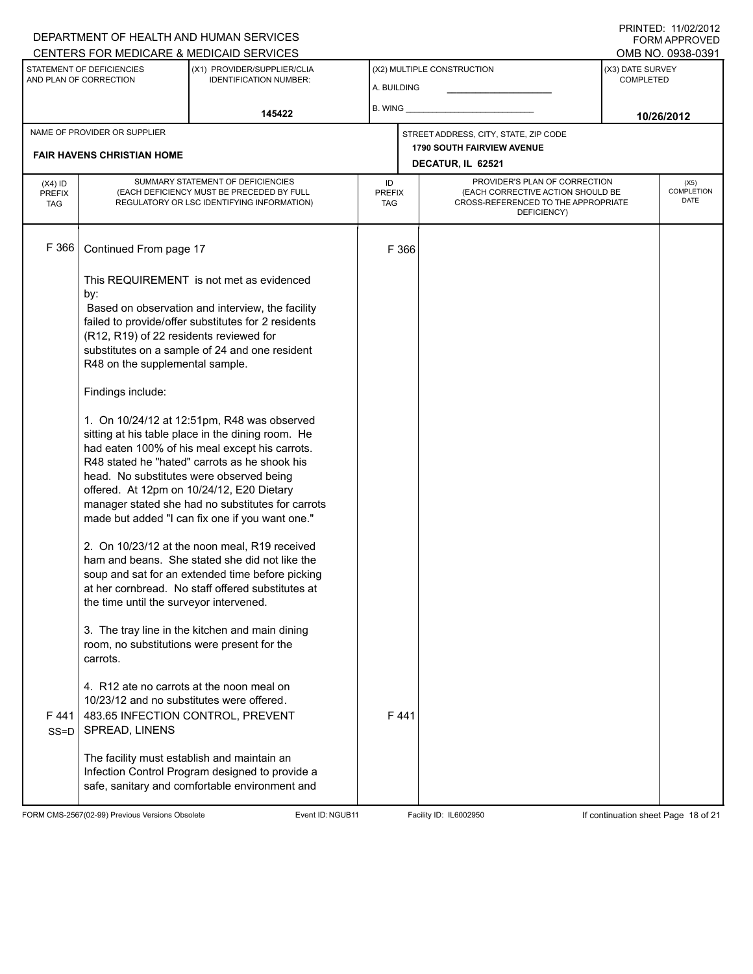#### A. BUILDING (X1) PROVIDER/SUPPLIER/CLIA IDENTIFICATION NUMBER: STATEMENT OF DEFICIENCIES AND PLAN OF CORRECTION (X3) DATE SURVEY COMPLETED FORM APPROVED (X2) MULTIPLE CONSTRUCTION B. WING DEPARTMENT OF HEALTH AND HUMAN SERVICES CENTERS FOR MEDICARE & MEDICAID SERVICES **And CENTERS FOR MEDICAL ACCESS** OMB NO. 0938-0391 **145422 10/26/2012 DECATUR, IL 62521** NAME OF PROVIDER OR SUPPLIER STREET ADDRESS, CITY, STATE, ZIP CODE **FAIR HAVENS CHRISTIAN HOME 1790 SOUTH FAIRVIEW AVENUE** PROVIDER'S PLAN OF CORRECTION (EACH CORRECTIVE ACTION SHOULD BE CROSS-REFERENCED TO THE APPROPRIATE DEFICIENCY) (X5) **COMPLETION** DATE ID PREFIX TAG  $(X4)$  ID PREFIX TAG SUMMARY STATEMENT OF DEFICIENCIES (EACH DEFICIENCY MUST BE PRECEDED BY FULL REGULATORY OR LSC IDENTIFYING INFORMATION) F 366 Continued From page 17 F 366 This REQUIREMENT is not met as evidenced by: Based on observation and interview, the facility failed to provide/offer substitutes for 2 residents (R12, R19) of 22 residents reviewed for substitutes on a sample of 24 and one resident R48 on the supplemental sample. Findings include: 1. On 10/24/12 at 12:51pm, R48 was observed sitting at his table place in the dining room. He had eaten 100% of his meal except his carrots. R48 stated he "hated" carrots as he shook his head. No substitutes were observed being offered. At 12pm on 10/24/12, E20 Dietary manager stated she had no substitutes for carrots made but added "I can fix one if you want one." 2. On 10/23/12 at the noon meal, R19 received ham and beans. She stated she did not like the soup and sat for an extended time before picking at her cornbread. No staff offered substitutes at the time until the surveyor intervened. 3. The tray line in the kitchen and main dining room, no substitutions were present for the carrots. 4. R12 ate no carrots at the noon meal on 10/23/12 and no substitutes were offered. F 441 SS=D 483.65 INFECTION CONTROL, PREVENT SPREAD, LINENS The facility must establish and maintain an Infection Control Program designed to provide a safe, sanitary and comfortable environment and F 441

FORM CMS-2567(02-99) Previous Versions Obsolete Event ID:NGUB11 Facility ID: IL6002950 If continuation sheet Page 18 of 21

PRINTED: 11/02/2012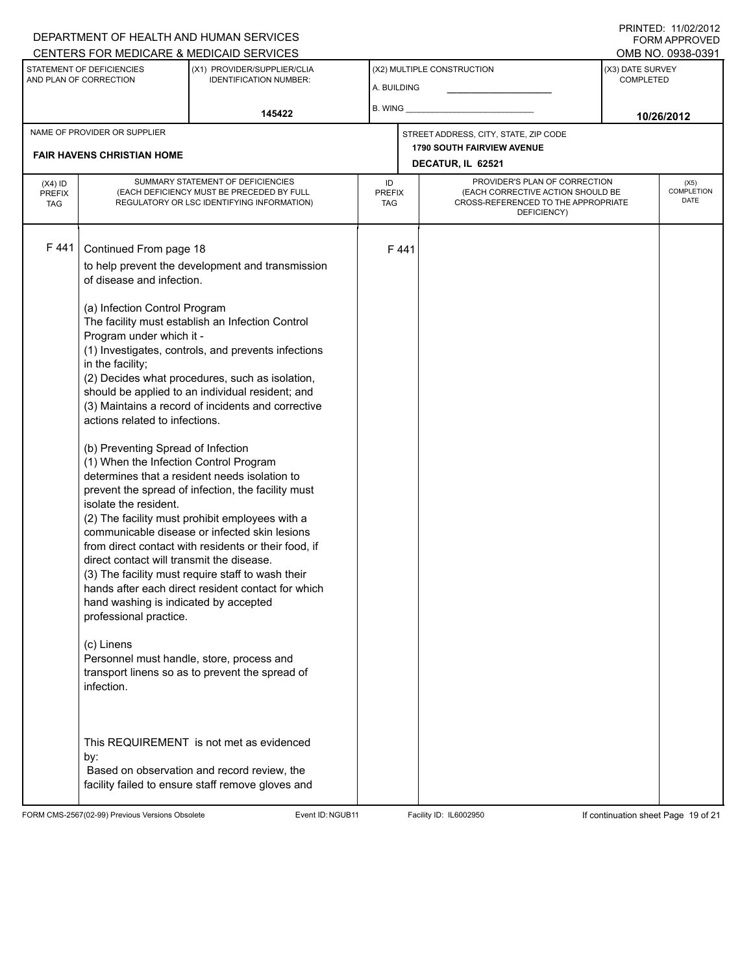PRINTED: 11/02/2012 FORM APPROVED

|                                          |                                                                                                                                                                                                                                                                                                                                                                                                                             | CENTERS FOR MEDICARE & MEDICAID SERVICES                                                                                                                                                                                                                                                                                                                                                                                                                                                                                                                                                                                                                                                                                                                                                               |                                   |      |                                                                                                                          |                                      | OMB NO. 0938-0391          |
|------------------------------------------|-----------------------------------------------------------------------------------------------------------------------------------------------------------------------------------------------------------------------------------------------------------------------------------------------------------------------------------------------------------------------------------------------------------------------------|--------------------------------------------------------------------------------------------------------------------------------------------------------------------------------------------------------------------------------------------------------------------------------------------------------------------------------------------------------------------------------------------------------------------------------------------------------------------------------------------------------------------------------------------------------------------------------------------------------------------------------------------------------------------------------------------------------------------------------------------------------------------------------------------------------|-----------------------------------|------|--------------------------------------------------------------------------------------------------------------------------|--------------------------------------|----------------------------|
|                                          | STATEMENT OF DEFICIENCIES<br>AND PLAN OF CORRECTION                                                                                                                                                                                                                                                                                                                                                                         | (X1) PROVIDER/SUPPLIER/CLIA<br><b>IDENTIFICATION NUMBER:</b>                                                                                                                                                                                                                                                                                                                                                                                                                                                                                                                                                                                                                                                                                                                                           | A. BUILDING                       |      | (X2) MULTIPLE CONSTRUCTION                                                                                               | (X3) DATE SURVEY<br><b>COMPLETED</b> |                            |
|                                          |                                                                                                                                                                                                                                                                                                                                                                                                                             | 145422                                                                                                                                                                                                                                                                                                                                                                                                                                                                                                                                                                                                                                                                                                                                                                                                 | B. WING                           |      |                                                                                                                          |                                      | 10/26/2012                 |
|                                          | NAME OF PROVIDER OR SUPPLIER<br><b>FAIR HAVENS CHRISTIAN HOME</b>                                                                                                                                                                                                                                                                                                                                                           |                                                                                                                                                                                                                                                                                                                                                                                                                                                                                                                                                                                                                                                                                                                                                                                                        |                                   |      | STREET ADDRESS, CITY, STATE, ZIP CODE<br><b>1790 SOUTH FAIRVIEW AVENUE</b><br>DECATUR, IL 62521                          |                                      |                            |
| $(X4)$ ID<br><b>PREFIX</b><br><b>TAG</b> |                                                                                                                                                                                                                                                                                                                                                                                                                             | SUMMARY STATEMENT OF DEFICIENCIES<br>(EACH DEFICIENCY MUST BE PRECEDED BY FULL<br>REGULATORY OR LSC IDENTIFYING INFORMATION)                                                                                                                                                                                                                                                                                                                                                                                                                                                                                                                                                                                                                                                                           | ID<br><b>PREFIX</b><br><b>TAG</b> |      | PROVIDER'S PLAN OF CORRECTION<br>(EACH CORRECTIVE ACTION SHOULD BE<br>CROSS-REFERENCED TO THE APPROPRIATE<br>DEFICIENCY) |                                      | (X5)<br>COMPLETION<br>DATE |
| F441                                     | Continued From page 18<br>of disease and infection.<br>(a) Infection Control Program<br>Program under which it -<br>in the facility;<br>actions related to infections.<br>(b) Preventing Spread of Infection<br>(1) When the Infection Control Program<br>isolate the resident.<br>direct contact will transmit the disease.<br>hand washing is indicated by accepted<br>professional practice.<br>(c) Linens<br>infection. | to help prevent the development and transmission<br>The facility must establish an Infection Control<br>(1) Investigates, controls, and prevents infections<br>(2) Decides what procedures, such as isolation,<br>should be applied to an individual resident; and<br>(3) Maintains a record of incidents and corrective<br>determines that a resident needs isolation to<br>prevent the spread of infection, the facility must<br>(2) The facility must prohibit employees with a<br>communicable disease or infected skin lesions<br>from direct contact with residents or their food, if<br>(3) The facility must require staff to wash their<br>hands after each direct resident contact for which<br>Personnel must handle, store, process and<br>transport linens so as to prevent the spread of |                                   | F441 |                                                                                                                          |                                      |                            |
|                                          | by:                                                                                                                                                                                                                                                                                                                                                                                                                         | This REQUIREMENT is not met as evidenced<br>Based on observation and record review, the<br>facility failed to ensure staff remove gloves and                                                                                                                                                                                                                                                                                                                                                                                                                                                                                                                                                                                                                                                           |                                   |      |                                                                                                                          |                                      |                            |

FORM CMS-2567(02-99) Previous Versions Obsolete Event ID:NGUB11 Facility ID: IL6002950 If continuation sheet Page 19 of 21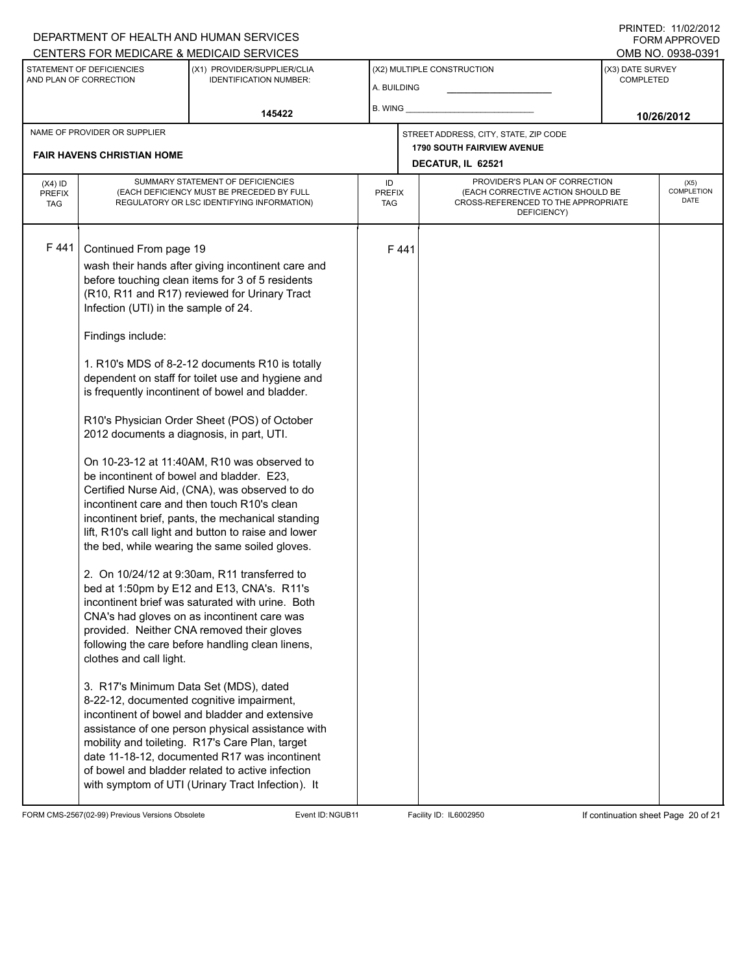PRINTED: 11/02/2012 FORM APPROVED<br>OMB NO. 0938-0391

|                                          | STATEMENT OF DEFICIENCIES                                                                                                                                                                                | <u>UENTERS FUR MEDIUARE &amp; MEDIUAID SERVIUES</u><br>(X1) PROVIDER/SUPPLIER/CLIA                                                                                                                                                                                                                                                                                                                                                                                                                                                                                                                                                                                                                                                                                                                                                                                                                                                                                                                                                                                                                                                                                                                                                                                                                                                                                                              |                                   |      | (X2) MULTIPLE CONSTRUCTION                                                                                               | (X3) DATE SURVEY | OMD MO' 0990-099 I         |
|------------------------------------------|----------------------------------------------------------------------------------------------------------------------------------------------------------------------------------------------------------|-------------------------------------------------------------------------------------------------------------------------------------------------------------------------------------------------------------------------------------------------------------------------------------------------------------------------------------------------------------------------------------------------------------------------------------------------------------------------------------------------------------------------------------------------------------------------------------------------------------------------------------------------------------------------------------------------------------------------------------------------------------------------------------------------------------------------------------------------------------------------------------------------------------------------------------------------------------------------------------------------------------------------------------------------------------------------------------------------------------------------------------------------------------------------------------------------------------------------------------------------------------------------------------------------------------------------------------------------------------------------------------------------|-----------------------------------|------|--------------------------------------------------------------------------------------------------------------------------|------------------|----------------------------|
| AND PLAN OF CORRECTION                   |                                                                                                                                                                                                          | <b>IDENTIFICATION NUMBER:</b>                                                                                                                                                                                                                                                                                                                                                                                                                                                                                                                                                                                                                                                                                                                                                                                                                                                                                                                                                                                                                                                                                                                                                                                                                                                                                                                                                                   | A. BUILDING<br>B. WING            |      |                                                                                                                          | COMPLETED        |                            |
|                                          |                                                                                                                                                                                                          |                                                                                                                                                                                                                                                                                                                                                                                                                                                                                                                                                                                                                                                                                                                                                                                                                                                                                                                                                                                                                                                                                                                                                                                                                                                                                                                                                                                                 |                                   |      |                                                                                                                          |                  |                            |
|                                          |                                                                                                                                                                                                          | 145422                                                                                                                                                                                                                                                                                                                                                                                                                                                                                                                                                                                                                                                                                                                                                                                                                                                                                                                                                                                                                                                                                                                                                                                                                                                                                                                                                                                          |                                   |      |                                                                                                                          |                  | 10/26/2012                 |
|                                          | NAME OF PROVIDER OR SUPPLIER                                                                                                                                                                             |                                                                                                                                                                                                                                                                                                                                                                                                                                                                                                                                                                                                                                                                                                                                                                                                                                                                                                                                                                                                                                                                                                                                                                                                                                                                                                                                                                                                 |                                   |      | STREET ADDRESS, CITY, STATE, ZIP CODE<br><b>1790 SOUTH FAIRVIEW AVENUE</b>                                               |                  |                            |
|                                          | <b>FAIR HAVENS CHRISTIAN HOME</b>                                                                                                                                                                        |                                                                                                                                                                                                                                                                                                                                                                                                                                                                                                                                                                                                                                                                                                                                                                                                                                                                                                                                                                                                                                                                                                                                                                                                                                                                                                                                                                                                 |                                   |      | DECATUR, IL 62521                                                                                                        |                  |                            |
| $(X4)$ ID<br><b>PREFIX</b><br><b>TAG</b> |                                                                                                                                                                                                          | SUMMARY STATEMENT OF DEFICIENCIES<br>(EACH DEFICIENCY MUST BE PRECEDED BY FULL<br>REGULATORY OR LSC IDENTIFYING INFORMATION)                                                                                                                                                                                                                                                                                                                                                                                                                                                                                                                                                                                                                                                                                                                                                                                                                                                                                                                                                                                                                                                                                                                                                                                                                                                                    | ID<br><b>PREFIX</b><br><b>TAG</b> |      | PROVIDER'S PLAN OF CORRECTION<br>(EACH CORRECTIVE ACTION SHOULD BE<br>CROSS-REFERENCED TO THE APPROPRIATE<br>DEFICIENCY) |                  | (X5)<br>COMPLETION<br>DATE |
| F441                                     | Continued From page 19<br>Infection (UTI) in the sample of 24.<br>Findings include:<br>2012 documents a diagnosis, in part, UTI.<br>be incontinent of bowel and bladder. E23,<br>clothes and call light. | wash their hands after giving incontinent care and<br>before touching clean items for 3 of 5 residents<br>(R10, R11 and R17) reviewed for Urinary Tract<br>1. R10's MDS of 8-2-12 documents R10 is totally<br>dependent on staff for toilet use and hygiene and<br>is frequently incontinent of bowel and bladder.<br>R10's Physician Order Sheet (POS) of October<br>On 10-23-12 at 11:40AM, R10 was observed to<br>Certified Nurse Aid, (CNA), was observed to do<br>incontinent care and then touch R10's clean<br>incontinent brief, pants, the mechanical standing<br>lift, R10's call light and button to raise and lower<br>the bed, while wearing the same soiled gloves.<br>2. On 10/24/12 at 9:30am, R11 transferred to<br>bed at 1:50pm by E12 and E13, CNA's. R11's<br>incontinent brief was saturated with urine. Both<br>CNA's had gloves on as incontinent care was<br>provided. Neither CNA removed their gloves<br>following the care before handling clean linens,<br>3. R17's Minimum Data Set (MDS), dated<br>8-22-12, documented cognitive impairment,<br>incontinent of bowel and bladder and extensive<br>assistance of one person physical assistance with<br>mobility and toileting. R17's Care Plan, target<br>date 11-18-12, documented R17 was incontinent<br>of bowel and bladder related to active infection<br>with symptom of UTI (Urinary Tract Infection). It |                                   | F441 |                                                                                                                          |                  |                            |

FORM CMS-2567(02-99) Previous Versions Obsolete Event ID:NGUB11 Facility ID: IL6002950 If continuation sheet Page 20 of 21